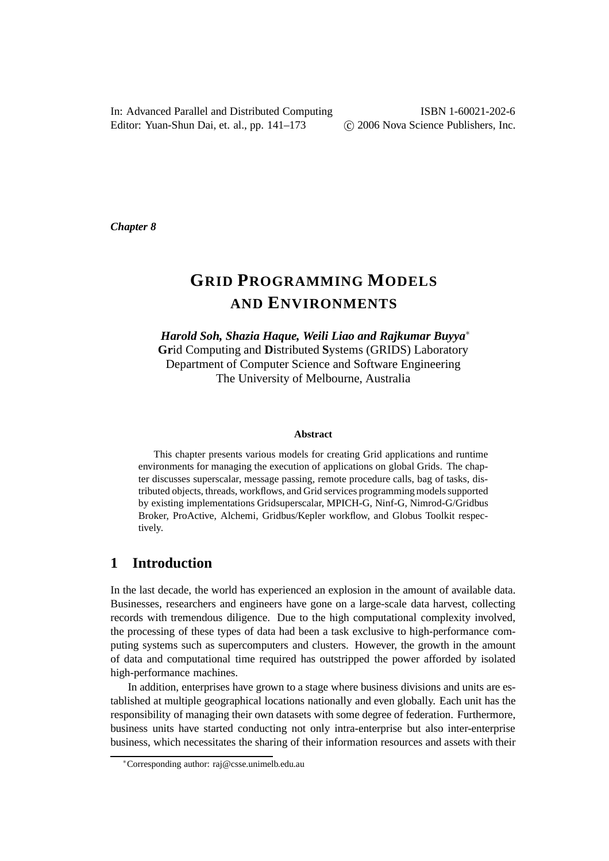In: Advanced Parallel and Distributed Computing Editor: Yuan-Shun Dai, et. al., pp. 141–173

ISBN 1-60021-202-6 c 2006 Nova Science Publishers, Inc.

*Chapter 8*

# **GRID PROGRAMMING MODELS AND ENVIRONMENTS**

*Harold Soh, Shazia Haque, Weili Liao and Rajkumar Buyya*<sup>∗</sup> **Gr**id Computing and **D**istributed **S**ystems (GRIDS) Laboratory Department of Computer Science and Software Engineering The University of Melbourne, Australia

#### **Abstract**

This chapter presents various models for creating Grid applications and runtime environments for managing the execution of applications on global Grids. The chapter discusses superscalar, message passing, remote procedure calls, bag of tasks, distributed objects, threads, workflows, and Grid services programming models supported by existing implementations Gridsuperscalar, MPICH-G, Ninf-G, Nimrod-G/Gridbus Broker, ProActive, Alchemi, Gridbus/Kepler workflow, and Globus Toolkit respectively.

# **1 Introduction**

In the last decade, the world has experienced an explosion in the amount of available data. Businesses, researchers and engineers have gone on a large-scale data harvest, collecting records with tremendous diligence. Due to the high computational complexity involved, the processing of these types of data had been a task exclusive to high-performance computing systems such as supercomputers and clusters. However, the growth in the amount of data and computational time required has outstripped the power afforded by isolated high-performance machines.

In addition, enterprises have grown to a stage where business divisions and units are established at multiple geographical locations nationally and even globally. Each unit has the responsibility of managing their own datasets with some degree of federation. Furthermore, business units have started conducting not only intra-enterprise but also inter-enterprise business, which necessitates the sharing of their information resources and assets with their

<sup>∗</sup>Corresponding author: raj@csse.unimelb.edu.au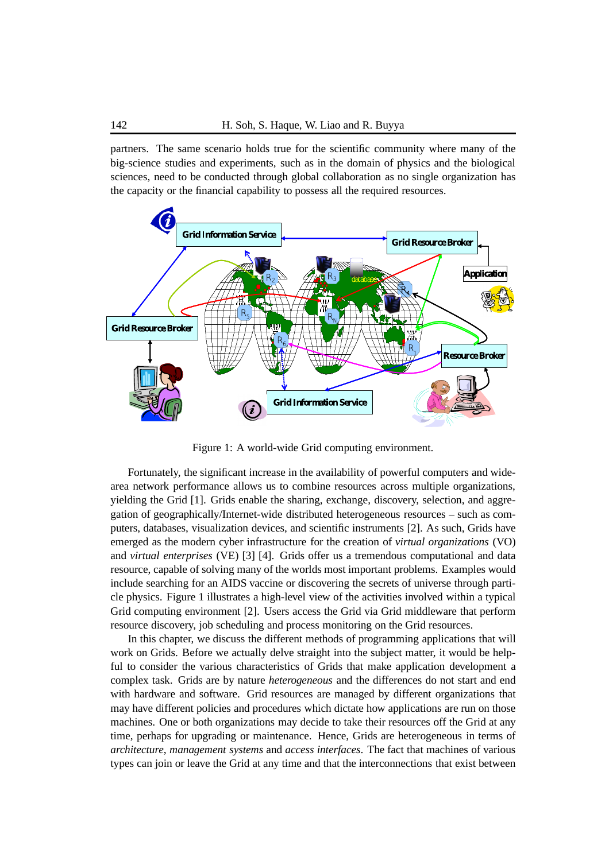partners. The same scenario holds true for the scientific community where many of the big-science studies and experiments, such as in the domain of physics and the biological sciences, need to be conducted through global collaboration as no single organization has the capacity or the financial capability to possess all the required resources.



Figure 1: A world-wide Grid computing environment.

Fortunately, the significant increase in the availability of powerful computers and widearea network performance allows us to combine resources across multiple organizations, yielding the Grid [1]. Grids enable the sharing, exchange, discovery, selection, and aggregation of geographically/Internet-wide distributed heterogeneous resources – such as computers, databases, visualization devices, and scientific instruments [2]. As such, Grids have emerged as the modern cyber infrastructure for the creation of *virtual organizations* (VO) and *virtual enterprises* (VE) [3] [4]. Grids offer us a tremendous computational and data resource, capable of solving many of the worlds most important problems. Examples would include searching for an AIDS vaccine or discovering the secrets of universe through particle physics. Figure 1 illustrates a high-level view of the activities involved within a typical Grid computing environment [2]. Users access the Grid via Grid middleware that perform resource discovery, job scheduling and process monitoring on the Grid resources.

In this chapter, we discuss the different methods of programming applications that will work on Grids. Before we actually delve straight into the subject matter, it would be helpful to consider the various characteristics of Grids that make application development a complex task. Grids are by nature *heterogeneous* and the differences do not start and end with hardware and software. Grid resources are managed by different organizations that may have different policies and procedures which dictate how applications are run on those machines. One or both organizations may decide to take their resources off the Grid at any time, perhaps for upgrading or maintenance. Hence, Grids are heterogeneous in terms of *architecture*, *management systems* and *access interfaces*. The fact that machines of various types can join or leave the Grid at any time and that the interconnections that exist between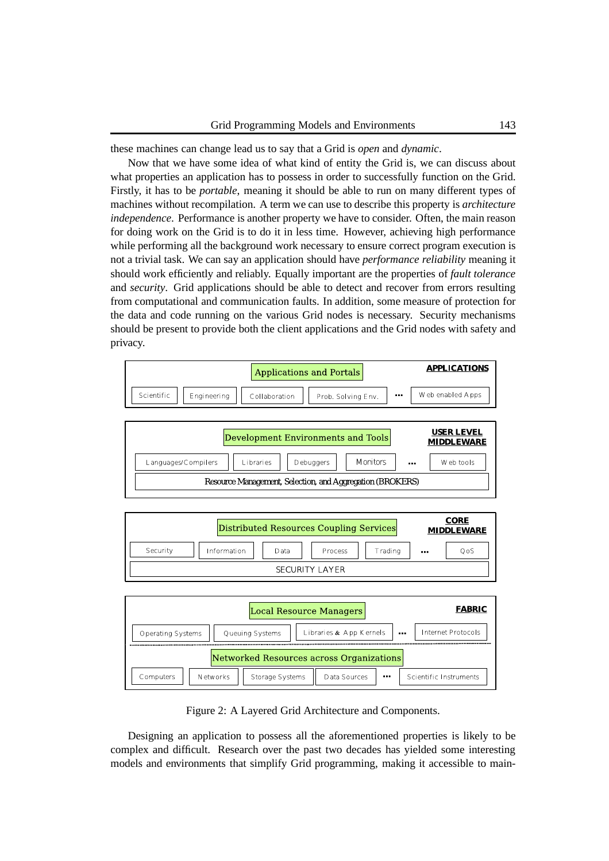these machines can change lead us to say that a Grid is *open* and *dynamic*.

Now that we have some idea of what kind of entity the Grid is, we can discuss about what properties an application has to possess in order to successfully function on the Grid. Firstly, it has to be *portable*, meaning it should be able to run on many different types of machines without recompilation. A term we can use to describe this property is *architecture independence*. Performance is another property we have to consider. Often, the main reason for doing work on the Grid is to do it in less time. However, achieving high performance while performing all the background work necessary to ensure correct program execution is not a trivial task. We can say an application should have *performance reliability* meaning it should work efficiently and reliably. Equally important are the properties of *fault tolerance* and *security*. Grid applications should be able to detect and recover from errors resulting from computational and communication faults. In addition, some measure of protection for the data and code running on the various Grid nodes is necessary. Security mechanisms should be present to provide both the client applications and the Grid nodes with safety and privacy.

|            |             |               | Applications and Portals |      | <b>APPLICATIONS</b> |
|------------|-------------|---------------|--------------------------|------|---------------------|
| Scientific | Engineering | Collaboration | Prob. Solving Env.       | -444 | W eb enabled A pps  |





|                   |                 |                 | Local Resource Managers                  | <b>FABRIC</b>              |
|-------------------|-----------------|-----------------|------------------------------------------|----------------------------|
| Operating Systems |                 | Queuing Systems | Libraries $&$ App K ernels               | <br>Internet Protocols     |
|                   |                 |                 | Networked Resources across Organizations |                            |
| Computers         | <b>Networks</b> | Storage Systems | Data Sources                             | <br>Scientific Instruments |

Figure 2: A Layered Grid Architecture and Components.

Designing an application to possess all the aforementioned properties is likely to be complex and difficult. Research over the past two decades has yielded some interesting models and environments that simplify Grid programming, making it accessible to main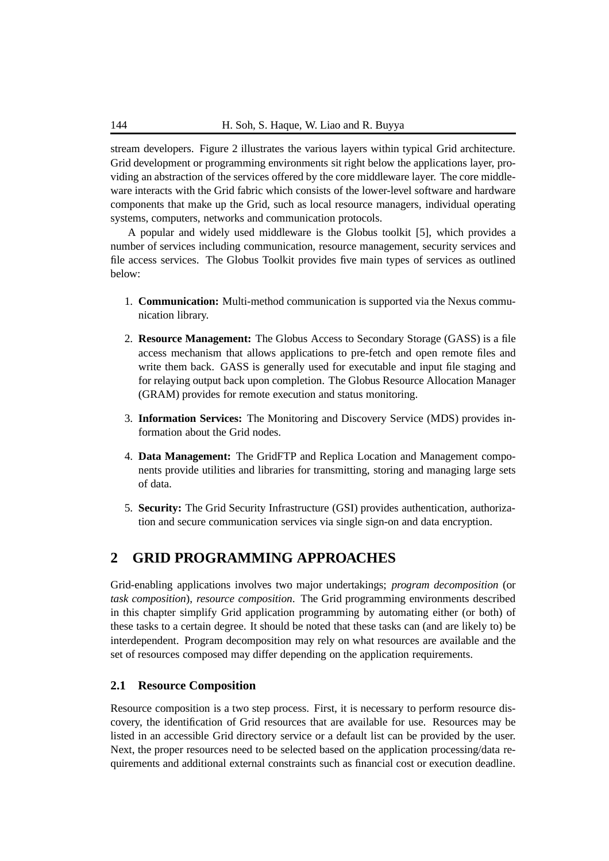stream developers. Figure 2 illustrates the various layers within typical Grid architecture. Grid development or programming environments sit right below the applications layer, providing an abstraction of the services offered by the core middleware layer. The core middleware interacts with the Grid fabric which consists of the lower-level software and hardware components that make up the Grid, such as local resource managers, individual operating systems, computers, networks and communication protocols.

A popular and widely used middleware is the Globus toolkit [5], which provides a number of services including communication, resource management, security services and file access services. The Globus Toolkit provides five main types of services as outlined below:

- 1. **Communication:** Multi-method communication is supported via the Nexus communication library.
- 2. **Resource Management:** The Globus Access to Secondary Storage (GASS) is a file access mechanism that allows applications to pre-fetch and open remote files and write them back. GASS is generally used for executable and input file staging and for relaying output back upon completion. The Globus Resource Allocation Manager (GRAM) provides for remote execution and status monitoring.
- 3. **Information Services:** The Monitoring and Discovery Service (MDS) provides information about the Grid nodes.
- 4. **Data Management:** The GridFTP and Replica Location and Management components provide utilities and libraries for transmitting, storing and managing large sets of data.
- 5. **Security:** The Grid Security Infrastructure (GSI) provides authentication, authorization and secure communication services via single sign-on and data encryption.

# **2 GRID PROGRAMMING APPROACHES**

Grid-enabling applications involves two major undertakings; *program decomposition* (or *task composition*), *resource composition*. The Grid programming environments described in this chapter simplify Grid application programming by automating either (or both) of these tasks to a certain degree. It should be noted that these tasks can (and are likely to) be interdependent. Program decomposition may rely on what resources are available and the set of resources composed may differ depending on the application requirements.

### **2.1 Resource Composition**

Resource composition is a two step process. First, it is necessary to perform resource discovery, the identification of Grid resources that are available for use. Resources may be listed in an accessible Grid directory service or a default list can be provided by the user. Next, the proper resources need to be selected based on the application processing/data requirements and additional external constraints such as financial cost or execution deadline.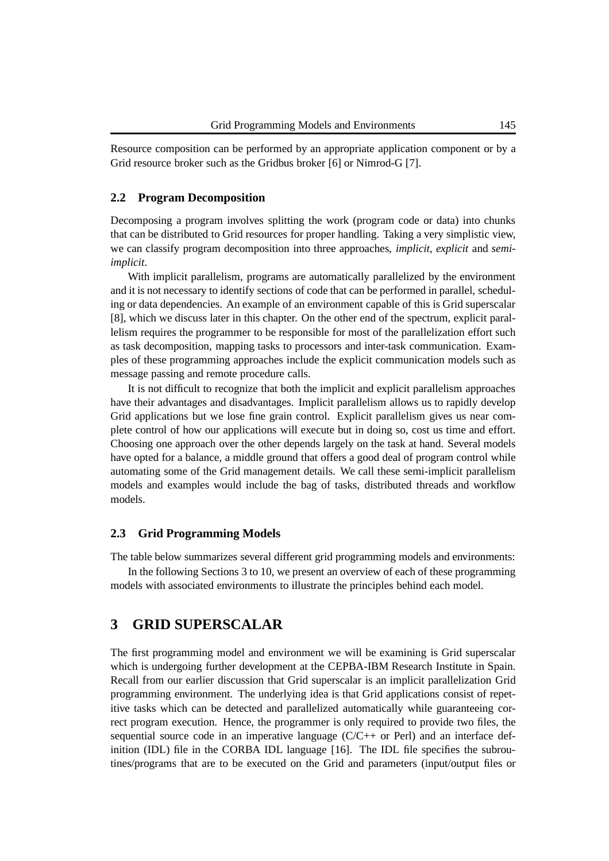Resource composition can be performed by an appropriate application component or by a Grid resource broker such as the Gridbus broker [6] or Nimrod-G [7].

#### **2.2 Program Decomposition**

Decomposing a program involves splitting the work (program code or data) into chunks that can be distributed to Grid resources for proper handling. Taking a very simplistic view, we can classify program decomposition into three approaches, *implicit*, *explicit* and *semiimplicit*.

With implicit parallelism, programs are automatically parallelized by the environment and it is not necessary to identify sections of code that can be performed in parallel, scheduling or data dependencies. An example of an environment capable of this is Grid superscalar [8], which we discuss later in this chapter. On the other end of the spectrum, explicit parallelism requires the programmer to be responsible for most of the parallelization effort such as task decomposition, mapping tasks to processors and inter-task communication. Examples of these programming approaches include the explicit communication models such as message passing and remote procedure calls.

It is not difficult to recognize that both the implicit and explicit parallelism approaches have their advantages and disadvantages. Implicit parallelism allows us to rapidly develop Grid applications but we lose fine grain control. Explicit parallelism gives us near complete control of how our applications will execute but in doing so, cost us time and effort. Choosing one approach over the other depends largely on the task at hand. Several models have opted for a balance, a middle ground that offers a good deal of program control while automating some of the Grid management details. We call these semi-implicit parallelism models and examples would include the bag of tasks, distributed threads and workflow models.

#### **2.3 Grid Programming Models**

The table below summarizes several different grid programming models and environments:

In the following Sections 3 to 10, we present an overview of each of these programming models with associated environments to illustrate the principles behind each model.

# **3 GRID SUPERSCALAR**

The first programming model and environment we will be examining is Grid superscalar which is undergoing further development at the CEPBA-IBM Research Institute in Spain. Recall from our earlier discussion that Grid superscalar is an implicit parallelization Grid programming environment. The underlying idea is that Grid applications consist of repetitive tasks which can be detected and parallelized automatically while guaranteeing correct program execution. Hence, the programmer is only required to provide two files, the sequential source code in an imperative language  $(C/C++$  or Perl) and an interface definition (IDL) file in the CORBA IDL language [16]. The IDL file specifies the subroutines/programs that are to be executed on the Grid and parameters (input/output files or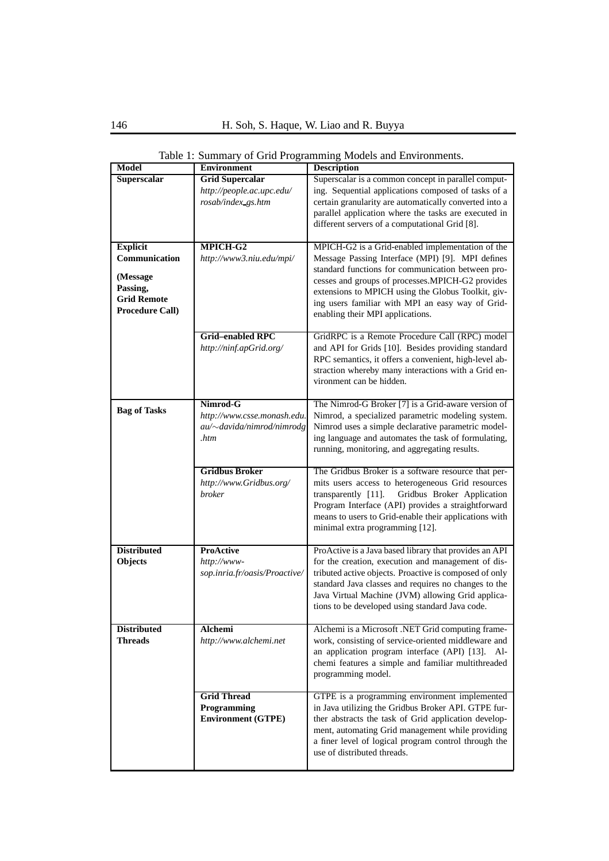| <b>Model</b>           | <b>Environment</b>            | <b>Description</b>                                     |
|------------------------|-------------------------------|--------------------------------------------------------|
| Superscalar            | <b>Grid Supercalar</b>        | Superscalar is a common concept in parallel comput-    |
|                        | http://people.ac.upc.edu/     | ing. Sequential applications composed of tasks of a    |
|                        | rosab/index_gs.htm            | certain granularity are automatically converted into a |
|                        |                               | parallel application where the tasks are executed in   |
|                        |                               | different servers of a computational Grid [8].         |
| <b>Explicit</b>        | MPICH-G2                      | MPICH-G2 is a Grid-enabled implementation of the       |
| Communication          | http://www3.niu.edu/mpi/      | Message Passing Interface (MPI) [9]. MPI defines       |
|                        |                               | standard functions for communication between pro-      |
| (Message<br>Passing,   |                               | cesses and groups of processes. MPICH-G2 provides      |
| <b>Grid Remote</b>     |                               | extensions to MPICH using the Globus Toolkit, giv-     |
| <b>Procedure Call)</b> |                               | ing users familiar with MPI an easy way of Grid-       |
|                        |                               | enabling their MPI applications.                       |
|                        | <b>Grid-enabled RPC</b>       | GridRPC is a Remote Procedure Call (RPC) model         |
|                        | http://ninf.apGrid.org/       | and API for Grids [10]. Besides providing standard     |
|                        |                               | RPC semantics, it offers a convenient, high-level ab-  |
|                        |                               | straction whereby many interactions with a Grid en-    |
|                        |                               | vironment can be hidden.                               |
|                        | Nimrod-G                      | The Nimrod-G Broker [7] is a Grid-aware version of     |
| <b>Bag of Tasks</b>    | http://www.csse.monash.edu.   | Nimrod, a specialized parametric modeling system.      |
|                        | au/~davida/nimrod/nimrodg     | Nimrod uses a simple declarative parametric model-     |
|                        | .htm                          | ing language and automates the task of formulating,    |
|                        |                               | running, monitoring, and aggregating results.          |
|                        | <b>Gridbus Broker</b>         | The Gridbus Broker is a software resource that per-    |
|                        | http://www.Gridbus.org/       | mits users access to heterogeneous Grid resources      |
|                        | broker                        | Gridbus Broker Application<br>transparently [11].      |
|                        |                               | Program Interface (API) provides a straightforward     |
|                        |                               | means to users to Grid-enable their applications with  |
|                        |                               | minimal extra programming [12].                        |
| <b>Distributed</b>     | <b>ProActive</b>              | ProActive is a Java based library that provides an API |
| Objects                | http://www-                   | for the creation, execution and management of dis-     |
|                        | sop.inria.fr/oasis/Proactive/ | tributed active objects. Proactive is composed of only |
|                        |                               | standard Java classes and requires no changes to the   |
|                        |                               | Java Virtual Machine (JVM) allowing Grid applica-      |
|                        |                               | tions to be developed using standard Java code.        |
| <b>Distributed</b>     | Alchemi                       | Alchemi is a Microsoft .NET Grid computing frame-      |
| <b>Threads</b>         | http://www.alchemi.net        | work, consisting of service-oriented middleware and    |
|                        |                               | an application program interface (API) [13]. Al-       |
|                        |                               | chemi features a simple and familiar multithreaded     |
|                        |                               | programming model.                                     |
|                        | <b>Grid Thread</b>            | GTPE is a programming environment implemented          |
|                        | Programming                   | in Java utilizing the Gridbus Broker API. GTPE fur-    |
|                        | <b>Environment (GTPE)</b>     | ther abstracts the task of Grid application develop-   |
|                        |                               | ment, automating Grid management while providing       |
|                        |                               | a finer level of logical program control through the   |
|                        |                               | use of distributed threads.                            |
|                        |                               |                                                        |

Table 1: Summary of Grid Programming Models and Environments.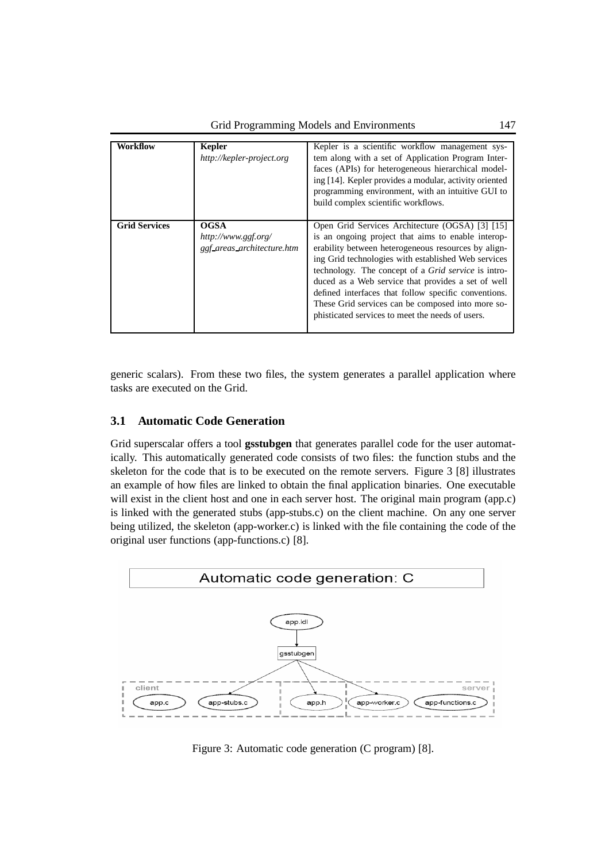| Workflow             | Kepler<br>http://kepler-project.org                              | Kepler is a scientific workflow management sys-<br>tem along with a set of Application Program Inter-<br>faces (APIs) for heterogeneous hierarchical model-<br>ing [14]. Kepler provides a modular, activity oriented<br>programming environment, with an intuitive GUI to<br>build complex scientific workflows.                                                                                                                                                                                        |
|----------------------|------------------------------------------------------------------|----------------------------------------------------------------------------------------------------------------------------------------------------------------------------------------------------------------------------------------------------------------------------------------------------------------------------------------------------------------------------------------------------------------------------------------------------------------------------------------------------------|
| <b>Grid Services</b> | <b>OGSA</b><br>http://www.ggf.org/<br>ggf_areas_architecture.htm | Open Grid Services Architecture (OGSA) [3] [15]<br>is an ongoing project that aims to enable interop-<br>erability between heterogeneous resources by align-<br>ing Grid technologies with established Web services<br>technology. The concept of a <i>Grid service</i> is intro-<br>duced as a Web service that provides a set of well<br>defined interfaces that follow specific conventions.<br>These Grid services can be composed into more so-<br>phisticated services to meet the needs of users. |

generic scalars). From these two files, the system generates a parallel application where tasks are executed on the Grid.

# **3.1 Automatic Code Generation**

Grid superscalar offers a tool **gsstubgen** that generates parallel code for the user automatically. This automatically generated code consists of two files: the function stubs and the skeleton for the code that is to be executed on the remote servers. Figure 3 [8] illustrates an example of how files are linked to obtain the final application binaries. One executable will exist in the client host and one in each server host. The original main program (app.c) is linked with the generated stubs (app-stubs.c) on the client machine. On any one server being utilized, the skeleton (app-worker.c) is linked with the file containing the code of the original user functions (app-functions.c) [8].



Figure 3: Automatic code generation (C program) [8].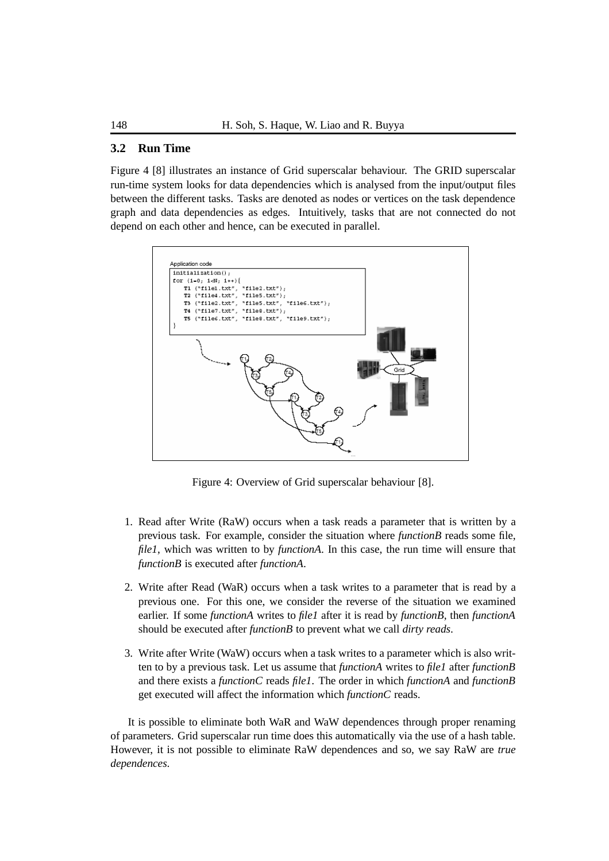#### **3.2 Run Time**

Figure 4 [8] illustrates an instance of Grid superscalar behaviour. The GRID superscalar run-time system looks for data dependencies which is analysed from the input/output files between the different tasks. Tasks are denoted as nodes or vertices on the task dependence graph and data dependencies as edges. Intuitively, tasks that are not connected do not depend on each other and hence, can be executed in parallel.



Figure 4: Overview of Grid superscalar behaviour [8].

- 1. Read after Write (RaW) occurs when a task reads a parameter that is written by a previous task. For example, consider the situation where *functionB* reads some file, *file1*, which was written to by *functionA*. In this case, the run time will ensure that *functionB* is executed after *functionA*.
- 2. Write after Read (WaR) occurs when a task writes to a parameter that is read by a previous one. For this one, we consider the reverse of the situation we examined earlier. If some *functionA* writes to *file1* after it is read by *functionB*, then *functionA* should be executed after *functionB* to prevent what we call *dirty reads*.
- 3. Write after Write (WaW) occurs when a task writes to a parameter which is also written to by a previous task. Let us assume that *functionA* writes to *file1* after *functionB* and there exists a *functionC* reads *file1*. The order in which *functionA* and *functionB* get executed will affect the information which *functionC* reads.

It is possible to eliminate both WaR and WaW dependences through proper renaming of parameters. Grid superscalar run time does this automatically via the use of a hash table. However, it is not possible to eliminate RaW dependences and so, we say RaW are *true dependences*.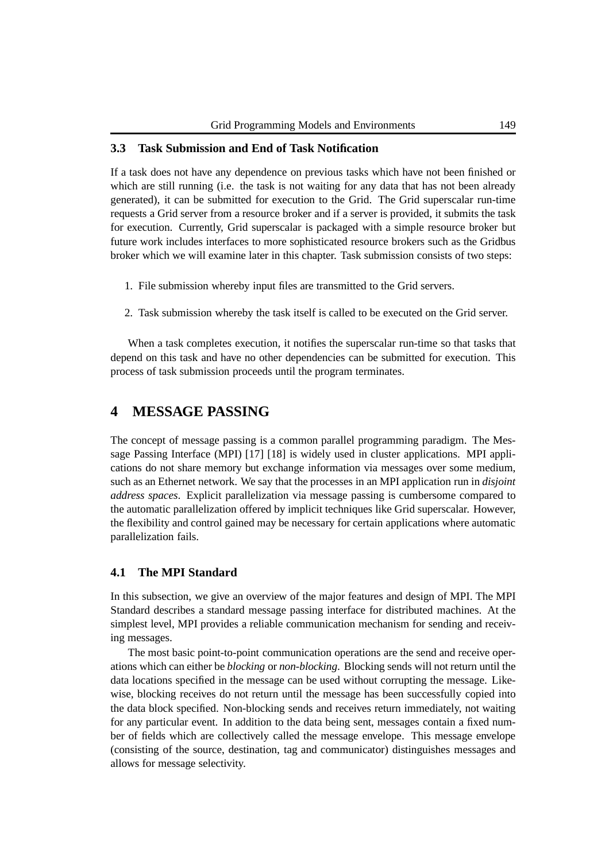#### **3.3 Task Submission and End of Task Notification**

If a task does not have any dependence on previous tasks which have not been finished or which are still running (i.e. the task is not waiting for any data that has not been already generated), it can be submitted for execution to the Grid. The Grid superscalar run-time requests a Grid server from a resource broker and if a server is provided, it submits the task for execution. Currently, Grid superscalar is packaged with a simple resource broker but future work includes interfaces to more sophisticated resource brokers such as the Gridbus broker which we will examine later in this chapter. Task submission consists of two steps:

- 1. File submission whereby input files are transmitted to the Grid servers.
- 2. Task submission whereby the task itself is called to be executed on the Grid server.

When a task completes execution, it notifies the superscalar run-time so that tasks that depend on this task and have no other dependencies can be submitted for execution. This process of task submission proceeds until the program terminates.

# **4 MESSAGE PASSING**

The concept of message passing is a common parallel programming paradigm. The Message Passing Interface (MPI) [17] [18] is widely used in cluster applications. MPI applications do not share memory but exchange information via messages over some medium, such as an Ethernet network. We say that the processes in an MPI application run in *disjoint address spaces*. Explicit parallelization via message passing is cumbersome compared to the automatic parallelization offered by implicit techniques like Grid superscalar. However, the flexibility and control gained may be necessary for certain applications where automatic parallelization fails.

# **4.1 The MPI Standard**

In this subsection, we give an overview of the major features and design of MPI. The MPI Standard describes a standard message passing interface for distributed machines. At the simplest level, MPI provides a reliable communication mechanism for sending and receiving messages.

The most basic point-to-point communication operations are the send and receive operations which can either be *blocking* or *non-blocking*. Blocking sends will not return until the data locations specified in the message can be used without corrupting the message. Likewise, blocking receives do not return until the message has been successfully copied into the data block specified. Non-blocking sends and receives return immediately, not waiting for any particular event. In addition to the data being sent, messages contain a fixed number of fields which are collectively called the message envelope. This message envelope (consisting of the source, destination, tag and communicator) distinguishes messages and allows for message selectivity.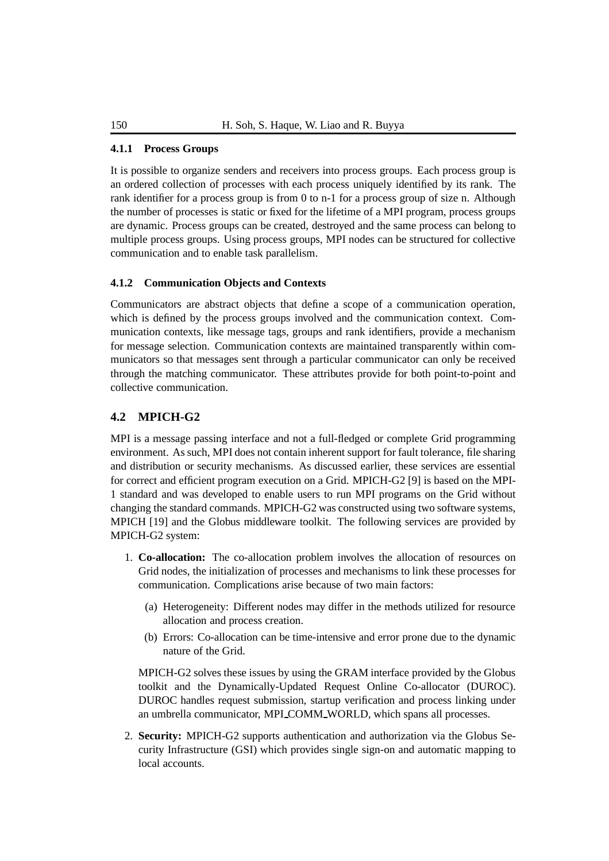#### **4.1.1 Process Groups**

It is possible to organize senders and receivers into process groups. Each process group is an ordered collection of processes with each process uniquely identified by its rank. The rank identifier for a process group is from 0 to n-1 for a process group of size n. Although the number of processes is static or fixed for the lifetime of a MPI program, process groups are dynamic. Process groups can be created, destroyed and the same process can belong to multiple process groups. Using process groups, MPI nodes can be structured for collective communication and to enable task parallelism.

#### **4.1.2 Communication Objects and Contexts**

Communicators are abstract objects that define a scope of a communication operation, which is defined by the process groups involved and the communication context. Communication contexts, like message tags, groups and rank identifiers, provide a mechanism for message selection. Communication contexts are maintained transparently within communicators so that messages sent through a particular communicator can only be received through the matching communicator. These attributes provide for both point-to-point and collective communication.

#### **4.2 MPICH-G2**

MPI is a message passing interface and not a full-fledged or complete Grid programming environment. As such, MPI does not contain inherent support for fault tolerance, file sharing and distribution or security mechanisms. As discussed earlier, these services are essential for correct and efficient program execution on a Grid. MPICH-G2 [9] is based on the MPI-1 standard and was developed to enable users to run MPI programs on the Grid without changing the standard commands. MPICH-G2 was constructed using two software systems, MPICH [19] and the Globus middleware toolkit. The following services are provided by MPICH-G2 system:

- 1. **Co-allocation:** The co-allocation problem involves the allocation of resources on Grid nodes, the initialization of processes and mechanisms to link these processes for communication. Complications arise because of two main factors:
	- (a) Heterogeneity: Different nodes may differ in the methods utilized for resource allocation and process creation.
	- (b) Errors: Co-allocation can be time-intensive and error prone due to the dynamic nature of the Grid.

MPICH-G2 solves these issues by using the GRAM interface provided by the Globus toolkit and the Dynamically-Updated Request Online Co-allocator (DUROC). DUROC handles request submission, startup verification and process linking under an umbrella communicator, MPI COMM WORLD, which spans all processes.

2. **Security:** MPICH-G2 supports authentication and authorization via the Globus Security Infrastructure (GSI) which provides single sign-on and automatic mapping to local accounts.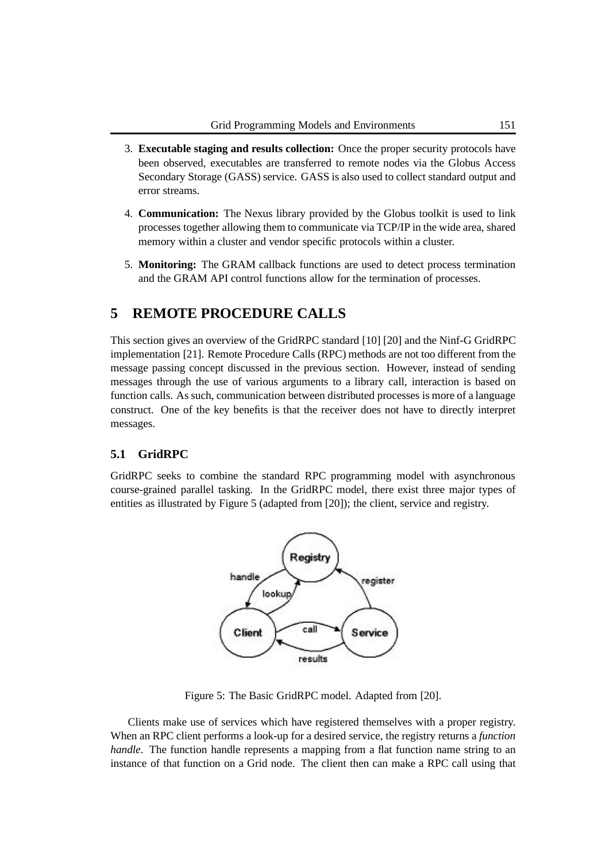- 3. **Executable staging and results collection:** Once the proper security protocols have been observed, executables are transferred to remote nodes via the Globus Access Secondary Storage (GASS) service. GASS is also used to collect standard output and error streams.
- 4. **Communication:** The Nexus library provided by the Globus toolkit is used to link processes together allowing them to communicate via TCP/IP in the wide area, shared memory within a cluster and vendor specific protocols within a cluster.
- 5. **Monitoring:** The GRAM callback functions are used to detect process termination and the GRAM API control functions allow for the termination of processes.

# **5 REMOTE PROCEDURE CALLS**

This section gives an overview of the GridRPC standard [10] [20] and the Ninf-G GridRPC implementation [21]. Remote Procedure Calls (RPC) methods are not too different from the message passing concept discussed in the previous section. However, instead of sending messages through the use of various arguments to a library call, interaction is based on function calls. As such, communication between distributed processes is more of a language construct. One of the key benefits is that the receiver does not have to directly interpret messages.

### **5.1 GridRPC**

GridRPC seeks to combine the standard RPC programming model with asynchronous course-grained parallel tasking. In the GridRPC model, there exist three major types of entities as illustrated by Figure 5 (adapted from [20]); the client, service and registry.



Figure 5: The Basic GridRPC model. Adapted from [20].

Clients make use of services which have registered themselves with a proper registry. When an RPC client performs a look-up for a desired service, the registry returns a *function handle*. The function handle represents a mapping from a flat function name string to an instance of that function on a Grid node. The client then can make a RPC call using that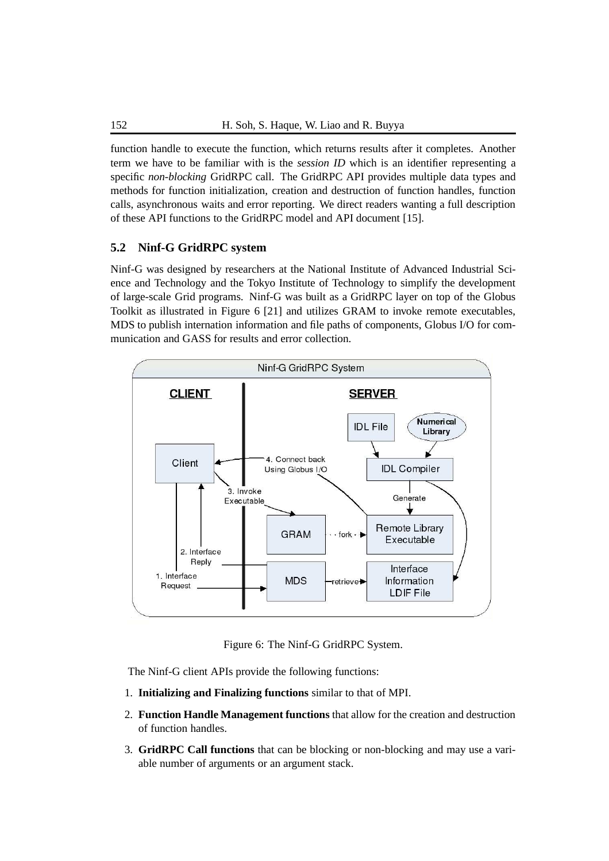function handle to execute the function, which returns results after it completes. Another term we have to be familiar with is the *session ID* which is an identifier representing a specific *non-blocking* GridRPC call. The GridRPC API provides multiple data types and methods for function initialization, creation and destruction of function handles, function calls, asynchronous waits and error reporting. We direct readers wanting a full description of these API functions to the GridRPC model and API document [15].

### **5.2 Ninf-G GridRPC system**

Ninf-G was designed by researchers at the National Institute of Advanced Industrial Science and Technology and the Tokyo Institute of Technology to simplify the development of large-scale Grid programs. Ninf-G was built as a GridRPC layer on top of the Globus Toolkit as illustrated in Figure 6 [21] and utilizes GRAM to invoke remote executables, MDS to publish internation information and file paths of components, Globus I/O for communication and GASS for results and error collection.



Figure 6: The Ninf-G GridRPC System.

The Ninf-G client APIs provide the following functions:

- 1. **Initializing and Finalizing functions** similar to that of MPI.
- 2. **Function Handle Management functions** that allow for the creation and destruction of function handles.
- 3. **GridRPC Call functions** that can be blocking or non-blocking and may use a variable number of arguments or an argument stack.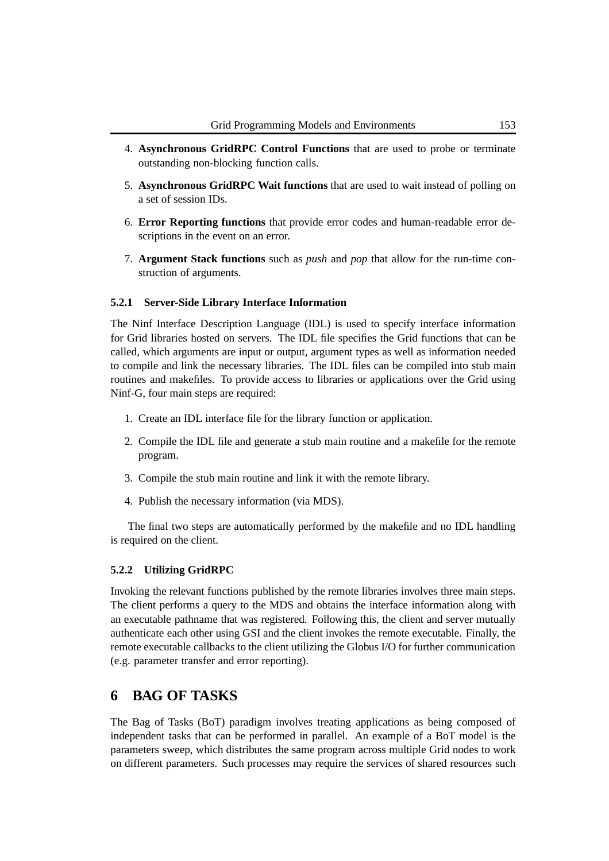- 4. **Asynchronous GridRPC Control Functions** that are used to probe or terminate outstanding non-blocking function calls.
- 5. **Asynchronous GridRPC Wait functions** that are used to wait instead of polling on a set of session IDs.
- 6. **Error Reporting functions** that provide error codes and human-readable error descriptions in the event on an error.
- 7. **Argument Stack functions** such as *push* and *pop* that allow for the run-time construction of arguments.

#### **5.2.1 Server-Side Library Interface Information**

The Ninf Interface Description Language (IDL) is used to specify interface information for Grid libraries hosted on servers. The IDL file specifies the Grid functions that can be called, which arguments are input or output, argument types as well as information needed to compile and link the necessary libraries. The IDL files can be compiled into stub main routines and makefiles. To provide access to libraries or applications over the Grid using Ninf-G, four main steps are required:

- 1. Create an IDL interface file for the library function or application.
- 2. Compile the IDL file and generate a stub main routine and a makefile for the remote program.
- 3. Compile the stub main routine and link it with the remote library.
- 4. Publish the necessary information (via MDS).

The final two steps are automatically performed by the makefile and no IDL handling is required on the client.

#### **5.2.2 Utilizing GridRPC**

Invoking the relevant functions published by the remote libraries involves three main steps. The client performs a query to the MDS and obtains the interface information along with an executable pathname that was registered. Following this, the client and server mutually authenticate each other using GSI and the client invokes the remote executable. Finally, the remote executable callbacks to the client utilizing the Globus I/O for further communication (e.g. parameter transfer and error reporting).

# **6 BAG OF TASKS**

The Bag of Tasks (BoT) paradigm involves treating applications as being composed of independent tasks that can be performed in parallel. An example of a BoT model is the parameters sweep, which distributes the same program across multiple Grid nodes to work on different parameters. Such processes may require the services of shared resources such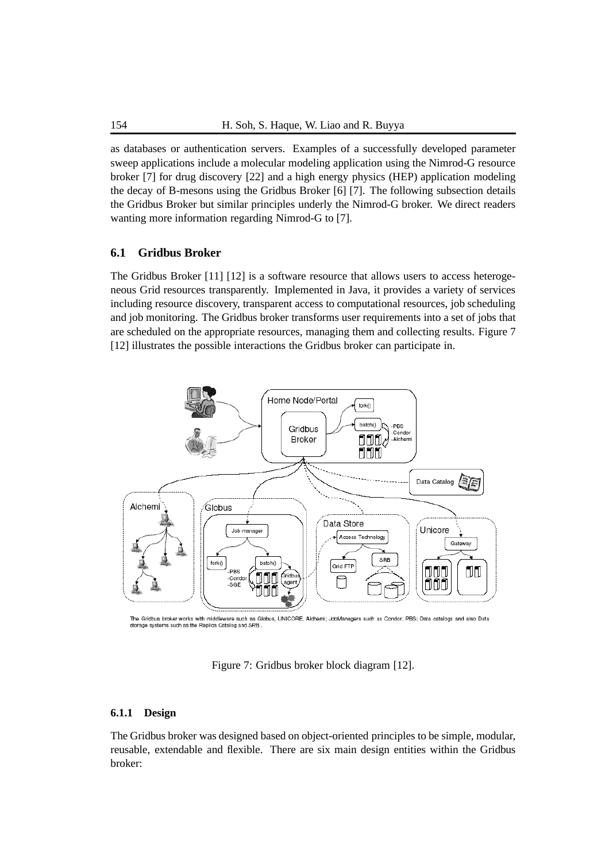as databases or authentication servers. Examples of a successfully developed parameter sweep applications include a molecular modeling application using the Nimrod-G resource broker [7] for drug discovery [22] and a high energy physics (HEP) application modeling the decay of B-mesons using the Gridbus Broker [6] [7]. The following subsection details the Gridbus Broker but similar principles underly the Nimrod-G broker. We direct readers wanting more information regarding Nimrod-G to [7].

### **6.1 Gridbus Broker**

The Gridbus Broker [11] [12] is a software resource that allows users to access heterogeneous Grid resources transparently. Implemented in Java, it provides a variety of services including resource discovery, transparent access to computational resources, job scheduling and job monitoring. The Gridbus broker transforms user requirements into a set of jobs that are scheduled on the appropriate resources, managing them and collecting results. Figure 7 [12] illustrates the possible interactions the Gridbus broker can participate in.



The Gridbus broker works with middleware such as Globus, UNICORE, Alchemi; JobManagers such as Condor, PBS; Data catalogs and also Data storage systems such as the Replica Catalog and SRB.

Figure 7: Gridbus broker block diagram [12].

#### **6.1.1 Design**

The Gridbus broker was designed based on object-oriented principles to be simple, modular, reusable, extendable and flexible. There are six main design entities within the Gridbus broker: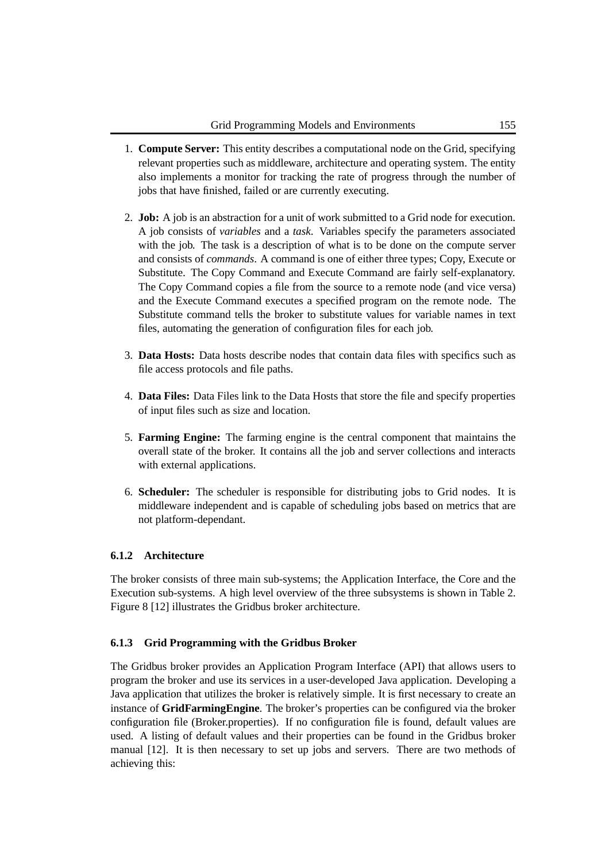- 1. **Compute Server:** This entity describes a computational node on the Grid, specifying relevant properties such as middleware, architecture and operating system. The entity also implements a monitor for tracking the rate of progress through the number of jobs that have finished, failed or are currently executing.
- 2. **Job:** A job is an abstraction for a unit of work submitted to a Grid node for execution. A job consists of *variables* and a *task*. Variables specify the parameters associated with the job. The task is a description of what is to be done on the compute server and consists of *commands*. A command is one of either three types; Copy, Execute or Substitute. The Copy Command and Execute Command are fairly self-explanatory. The Copy Command copies a file from the source to a remote node (and vice versa) and the Execute Command executes a specified program on the remote node. The Substitute command tells the broker to substitute values for variable names in text files, automating the generation of configuration files for each job.
- 3. **Data Hosts:** Data hosts describe nodes that contain data files with specifics such as file access protocols and file paths.
- 4. **Data Files:** Data Files link to the Data Hosts that store the file and specify properties of input files such as size and location.
- 5. **Farming Engine:** The farming engine is the central component that maintains the overall state of the broker. It contains all the job and server collections and interacts with external applications.
- 6. **Scheduler:** The scheduler is responsible for distributing jobs to Grid nodes. It is middleware independent and is capable of scheduling jobs based on metrics that are not platform-dependant.

### **6.1.2 Architecture**

The broker consists of three main sub-systems; the Application Interface, the Core and the Execution sub-systems. A high level overview of the three subsystems is shown in Table 2. Figure 8 [12] illustrates the Gridbus broker architecture.

#### **6.1.3 Grid Programming with the Gridbus Broker**

The Gridbus broker provides an Application Program Interface (API) that allows users to program the broker and use its services in a user-developed Java application. Developing a Java application that utilizes the broker is relatively simple. It is first necessary to create an instance of **GridFarmingEngine**. The broker's properties can be configured via the broker configuration file (Broker.properties). If no configuration file is found, default values are used. A listing of default values and their properties can be found in the Gridbus broker manual [12]. It is then necessary to set up jobs and servers. There are two methods of achieving this: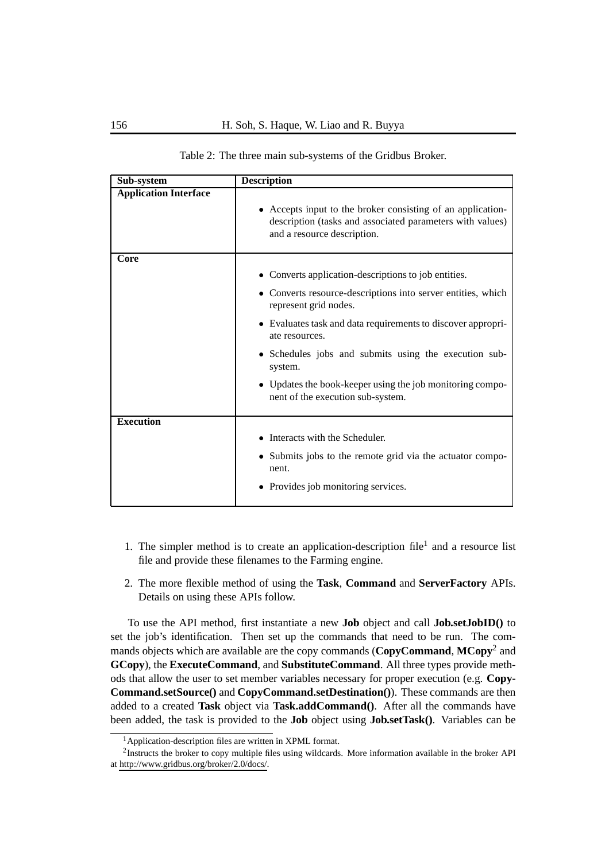| Sub-system                   | <b>Description</b>                                                                                                                                      |
|------------------------------|---------------------------------------------------------------------------------------------------------------------------------------------------------|
| <b>Application Interface</b> | • Accepts input to the broker consisting of an application-<br>description (tasks and associated parameters with values)<br>and a resource description. |
| Core                         | • Converts application-descriptions to job entities.<br>Converts resource-descriptions into server entities, which                                      |
|                              | represent grid nodes.<br>• Evaluates task and data requirements to discover appropri-<br>ate resources.                                                 |
|                              | • Schedules jobs and submits using the execution sub-<br>system.                                                                                        |
|                              | • Updates the book-keeper using the job monitoring compo-<br>nent of the execution sub-system.                                                          |
| <b>Execution</b>             |                                                                                                                                                         |
|                              | Interacts with the Scheduler.                                                                                                                           |
|                              | • Submits jobs to the remote grid via the actuator compo-<br>nent.                                                                                      |
|                              | Provides job monitoring services.                                                                                                                       |

Table 2: The three main sub-systems of the Gridbus Broker.

- 1. The simpler method is to create an application-description  $file<sup>1</sup>$  and a resource list file and provide these filenames to the Farming engine.
- 2. The more flexible method of using the **Task**, **Command** and **ServerFactory** APIs. Details on using these APIs follow.

To use the API method, first instantiate a new **Job** object and call **Job.setJobID()** to set the job's identification. Then set up the commands that need to be run. The commands objects which are available are the copy commands (**CopyCommand**, **MCopy**<sup>2</sup> and **GCopy**), the **ExecuteCommand**, and **SubstituteCommand**. All three types provide methods that allow the user to set member variables necessary for proper execution (e.g. **Copy-Command.setSource()** and **CopyCommand.setDestination()**). These commands are then added to a created **Task** object via **Task.addCommand()**. After all the commands have been added, the task is provided to the **Job** object using **Job.setTask()**. Variables can be

<sup>1</sup>Application-description files are written in XPML format.

 $2$ Instructs the broker to copy multiple files using wildcards. More information available in the broker API at http://www.gridbus.org/broker/2.0/docs/.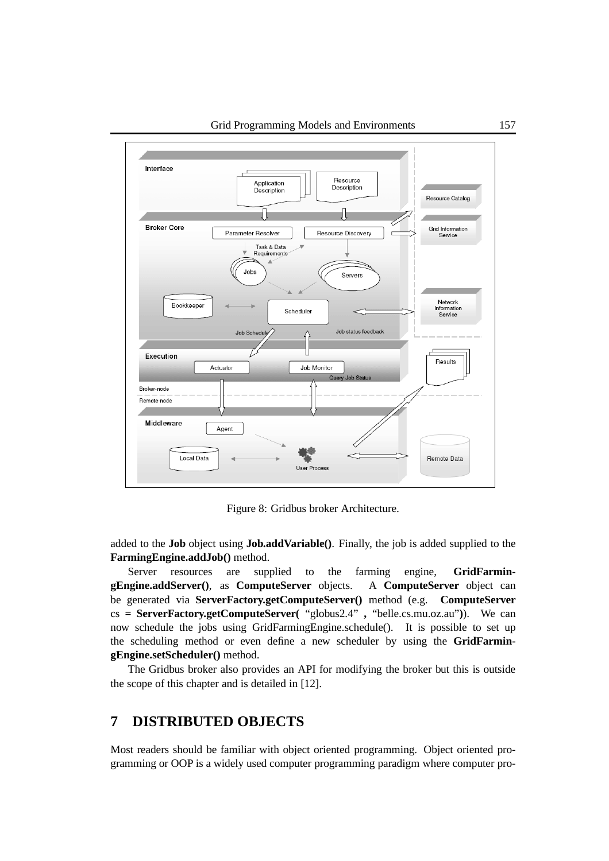

Figure 8: Gridbus broker Architecture.

added to the **Job** object using **Job.addVariable()**. Finally, the job is added supplied to the **FarmingEngine.addJob()** method.

Server resources are supplied to the farming engine, **GridFarmingEngine.addServer()**, as **ComputeServer** objects. A **ComputeServer** object can be generated via **ServerFactory.getComputeServer()** method (e.g. **ComputeServer** cs **= ServerFactory.getComputeServer(** "globus2.4" **,** "belle.cs.mu.oz.au"**)**). We can now schedule the jobs using GridFarmingEngine.schedule(). It is possible to set up the scheduling method or even define a new scheduler by using the **GridFarmingEngine.setScheduler()** method.

The Gridbus broker also provides an API for modifying the broker but this is outside the scope of this chapter and is detailed in [12].

# **7 DISTRIBUTED OBJECTS**

Most readers should be familiar with object oriented programming. Object oriented programming or OOP is a widely used computer programming paradigm where computer pro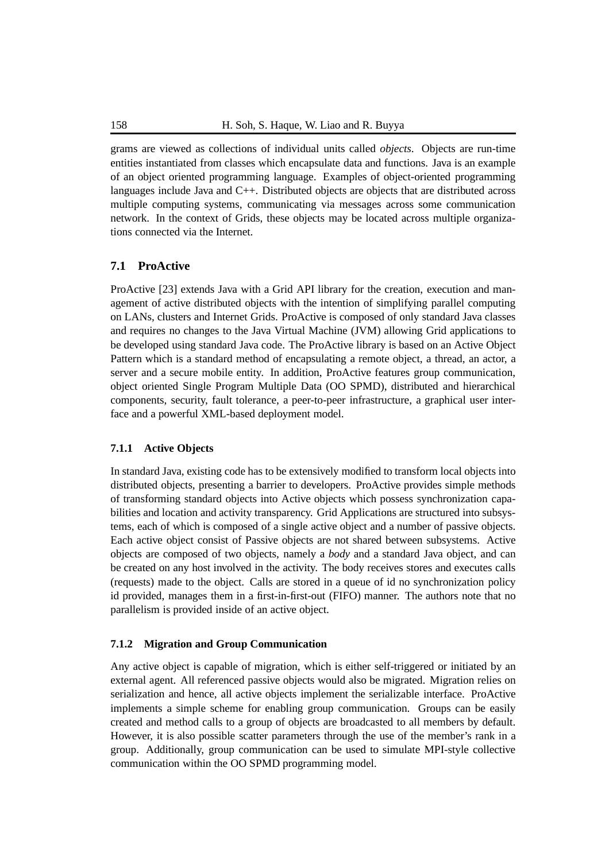grams are viewed as collections of individual units called *objects*. Objects are run-time entities instantiated from classes which encapsulate data and functions. Java is an example of an object oriented programming language. Examples of object-oriented programming languages include Java and C++. Distributed objects are objects that are distributed across multiple computing systems, communicating via messages across some communication network. In the context of Grids, these objects may be located across multiple organizations connected via the Internet.

#### **7.1 ProActive**

ProActive [23] extends Java with a Grid API library for the creation, execution and management of active distributed objects with the intention of simplifying parallel computing on LANs, clusters and Internet Grids. ProActive is composed of only standard Java classes and requires no changes to the Java Virtual Machine (JVM) allowing Grid applications to be developed using standard Java code. The ProActive library is based on an Active Object Pattern which is a standard method of encapsulating a remote object, a thread, an actor, a server and a secure mobile entity. In addition, ProActive features group communication, object oriented Single Program Multiple Data (OO SPMD), distributed and hierarchical components, security, fault tolerance, a peer-to-peer infrastructure, a graphical user interface and a powerful XML-based deployment model.

### **7.1.1 Active Objects**

In standard Java, existing code has to be extensively modified to transform local objects into distributed objects, presenting a barrier to developers. ProActive provides simple methods of transforming standard objects into Active objects which possess synchronization capabilities and location and activity transparency. Grid Applications are structured into subsystems, each of which is composed of a single active object and a number of passive objects. Each active object consist of Passive objects are not shared between subsystems. Active objects are composed of two objects, namely a *body* and a standard Java object, and can be created on any host involved in the activity. The body receives stores and executes calls (requests) made to the object. Calls are stored in a queue of id no synchronization policy id provided, manages them in a first-in-first-out (FIFO) manner. The authors note that no parallelism is provided inside of an active object.

#### **7.1.2 Migration and Group Communication**

Any active object is capable of migration, which is either self-triggered or initiated by an external agent. All referenced passive objects would also be migrated. Migration relies on serialization and hence, all active objects implement the serializable interface. ProActive implements a simple scheme for enabling group communication. Groups can be easily created and method calls to a group of objects are broadcasted to all members by default. However, it is also possible scatter parameters through the use of the member's rank in a group. Additionally, group communication can be used to simulate MPI-style collective communication within the OO SPMD programming model.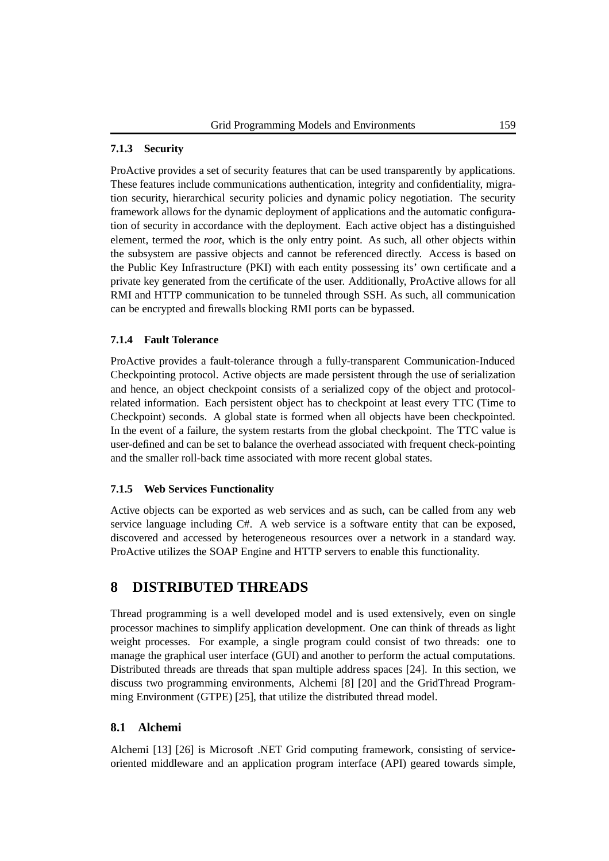# **7.1.3 Security**

ProActive provides a set of security features that can be used transparently by applications. These features include communications authentication, integrity and confidentiality, migration security, hierarchical security policies and dynamic policy negotiation. The security framework allows for the dynamic deployment of applications and the automatic configuration of security in accordance with the deployment. Each active object has a distinguished element, termed the *root*, which is the only entry point. As such, all other objects within the subsystem are passive objects and cannot be referenced directly. Access is based on the Public Key Infrastructure (PKI) with each entity possessing its' own certificate and a private key generated from the certificate of the user. Additionally, ProActive allows for all RMI and HTTP communication to be tunneled through SSH. As such, all communication can be encrypted and firewalls blocking RMI ports can be bypassed.

#### **7.1.4 Fault Tolerance**

ProActive provides a fault-tolerance through a fully-transparent Communication-Induced Checkpointing protocol. Active objects are made persistent through the use of serialization and hence, an object checkpoint consists of a serialized copy of the object and protocolrelated information. Each persistent object has to checkpoint at least every TTC (Time to Checkpoint) seconds. A global state is formed when all objects have been checkpointed. In the event of a failure, the system restarts from the global checkpoint. The TTC value is user-defined and can be set to balance the overhead associated with frequent check-pointing and the smaller roll-back time associated with more recent global states.

#### **7.1.5 Web Services Functionality**

Active objects can be exported as web services and as such, can be called from any web service language including C#. A web service is a software entity that can be exposed, discovered and accessed by heterogeneous resources over a network in a standard way. ProActive utilizes the SOAP Engine and HTTP servers to enable this functionality.

# **8 DISTRIBUTED THREADS**

Thread programming is a well developed model and is used extensively, even on single processor machines to simplify application development. One can think of threads as light weight processes. For example, a single program could consist of two threads: one to manage the graphical user interface (GUI) and another to perform the actual computations. Distributed threads are threads that span multiple address spaces [24]. In this section, we discuss two programming environments, Alchemi [8] [20] and the GridThread Programming Environment (GTPE) [25], that utilize the distributed thread model.

# **8.1 Alchemi**

Alchemi [13] [26] is Microsoft .NET Grid computing framework, consisting of serviceoriented middleware and an application program interface (API) geared towards simple,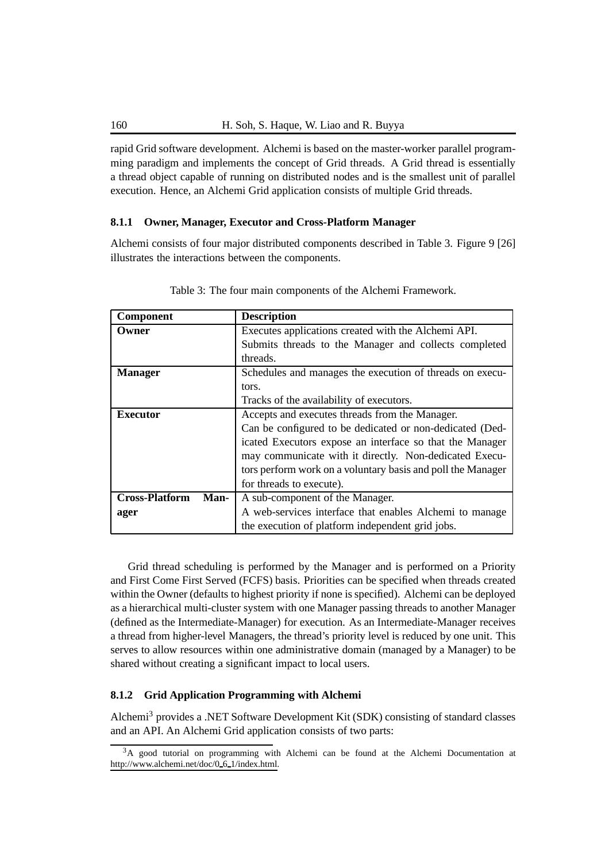rapid Grid software development. Alchemi is based on the master-worker parallel programming paradigm and implements the concept of Grid threads. A Grid thread is essentially a thread object capable of running on distributed nodes and is the smallest unit of parallel execution. Hence, an Alchemi Grid application consists of multiple Grid threads.

#### **8.1.1 Owner, Manager, Executor and Cross-Platform Manager**

Alchemi consists of four major distributed components described in Table 3. Figure 9 [26] illustrates the interactions between the components.

| <b>Component</b>              | <b>Description</b>                                          |
|-------------------------------|-------------------------------------------------------------|
| Owner                         | Executes applications created with the Alchemi API.         |
|                               | Submits threads to the Manager and collects completed       |
|                               | threads.                                                    |
| <b>Manager</b>                | Schedules and manages the execution of threads on execu-    |
|                               | tors.                                                       |
|                               | Tracks of the availability of executors.                    |
| <b>Executor</b>               | Accepts and executes threads from the Manager.              |
|                               | Can be configured to be dedicated or non-dedicated (Ded-    |
|                               | icated Executors expose an interface so that the Manager    |
|                               | may communicate with it directly. Non-dedicated Execu-      |
|                               | tors perform work on a voluntary basis and poll the Manager |
|                               | for threads to execute).                                    |
| <b>Cross-Platform</b><br>Man- | A sub-component of the Manager.                             |
| ager                          | A web-services interface that enables Alchemi to manage     |
|                               | the execution of platform independent grid jobs.            |

Table 3: The four main components of the Alchemi Framework.

Grid thread scheduling is performed by the Manager and is performed on a Priority and First Come First Served (FCFS) basis. Priorities can be specified when threads created within the Owner (defaults to highest priority if none is specified). Alchemi can be deployed as a hierarchical multi-cluster system with one Manager passing threads to another Manager (defined as the Intermediate-Manager) for execution. As an Intermediate-Manager receives a thread from higher-level Managers, the thread's priority level is reduced by one unit. This serves to allow resources within one administrative domain (managed by a Manager) to be shared without creating a significant impact to local users.

### **8.1.2 Grid Application Programming with Alchemi**

Alchemi<sup>3</sup> provides a .NET Software Development Kit (SDK) consisting of standard classes and an API. An Alchemi Grid application consists of two parts:

<sup>&</sup>lt;sup>3</sup>A good tutorial on programming with Alchemi can be found at the Alchemi Documentation at http://www.alchemi.net/doc/0 6 1/index.html.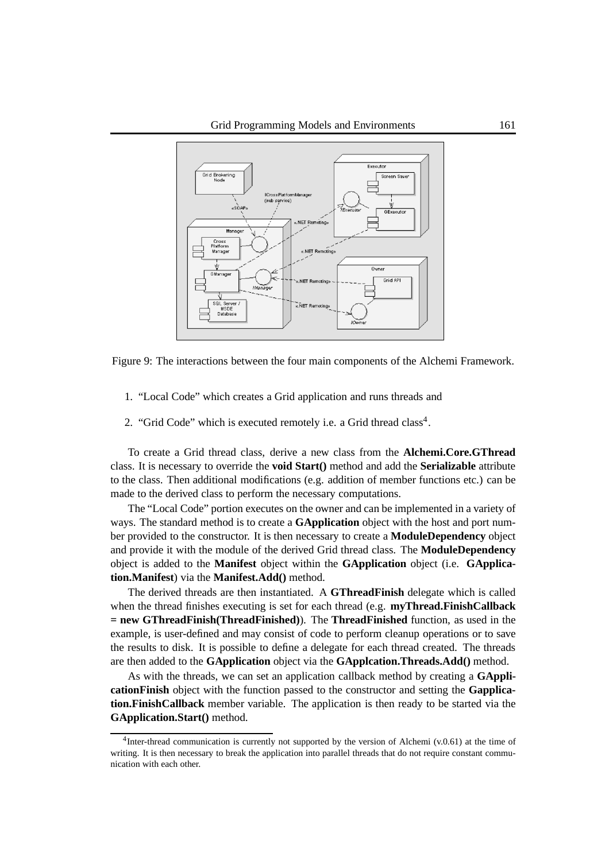

Figure 9: The interactions between the four main components of the Alchemi Framework.

- 1. "Local Code" which creates a Grid application and runs threads and
- 2. "Grid Code" which is executed remotely i.e. a Grid thread class<sup>4</sup>.

To create a Grid thread class, derive a new class from the **Alchemi.Core.GThread** class. It is necessary to override the **void Start()** method and add the **Serializable** attribute to the class. Then additional modifications (e.g. addition of member functions etc.) can be made to the derived class to perform the necessary computations.

The "Local Code" portion executes on the owner and can be implemented in a variety of ways. The standard method is to create a **GApplication** object with the host and port number provided to the constructor. It is then necessary to create a **ModuleDependency** object and provide it with the module of the derived Grid thread class. The **ModuleDependency** object is added to the **Manifest** object within the **GApplication** object (i.e. **GApplication.Manifest**) via the **Manifest.Add()** method.

The derived threads are then instantiated. A **GThreadFinish** delegate which is called when the thread finishes executing is set for each thread (e.g. **myThread.FinishCallback = new GThreadFinish(ThreadFinished)**). The **ThreadFinished** function, as used in the example, is user-defined and may consist of code to perform cleanup operations or to save the results to disk. It is possible to define a delegate for each thread created. The threads are then added to the **GApplication** object via the **GApplcation.Threads.Add()** method.

As with the threads, we can set an application callback method by creating a **GApplicationFinish** object with the function passed to the constructor and setting the **Gapplication.FinishCallback** member variable. The application is then ready to be started via the **GApplication.Start()** method.

 $^{4}$ Inter-thread communication is currently not supported by the version of Alchemi (v.0.61) at the time of writing. It is then necessary to break the application into parallel threads that do not require constant communication with each other.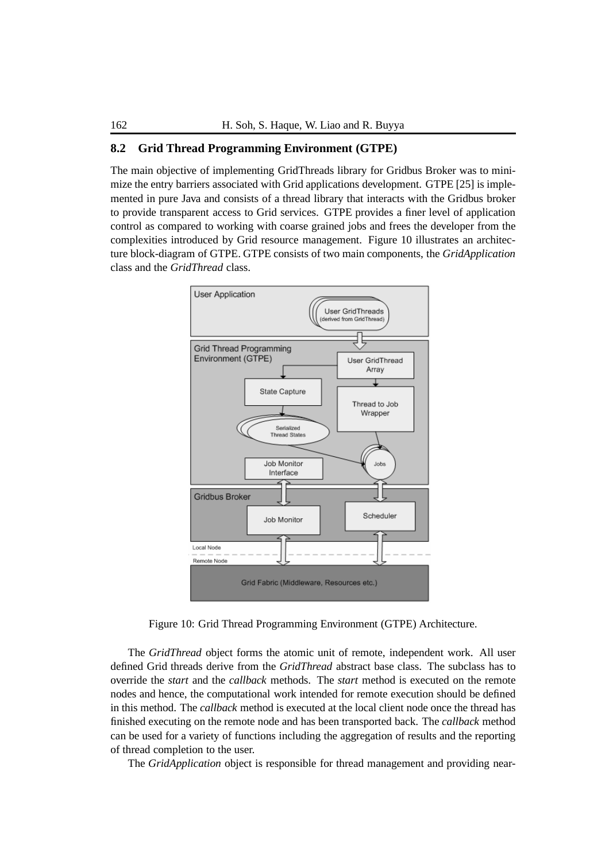### **8.2 Grid Thread Programming Environment (GTPE)**

The main objective of implementing GridThreads library for Gridbus Broker was to minimize the entry barriers associated with Grid applications development. GTPE [25] is implemented in pure Java and consists of a thread library that interacts with the Gridbus broker to provide transparent access to Grid services. GTPE provides a finer level of application control as compared to working with coarse grained jobs and frees the developer from the complexities introduced by Grid resource management. Figure 10 illustrates an architecture block-diagram of GTPE. GTPE consists of two main components, the *GridApplication* class and the *GridThread* class.



Figure 10: Grid Thread Programming Environment (GTPE) Architecture.

The *GridThread* object forms the atomic unit of remote, independent work. All user defined Grid threads derive from the *GridThread* abstract base class. The subclass has to override the *start* and the *callback* methods. The *start* method is executed on the remote nodes and hence, the computational work intended for remote execution should be defined in this method. The *callback* method is executed at the local client node once the thread has finished executing on the remote node and has been transported back. The *callback* method can be used for a variety of functions including the aggregation of results and the reporting of thread completion to the user.

The *GridApplication* object is responsible for thread management and providing near-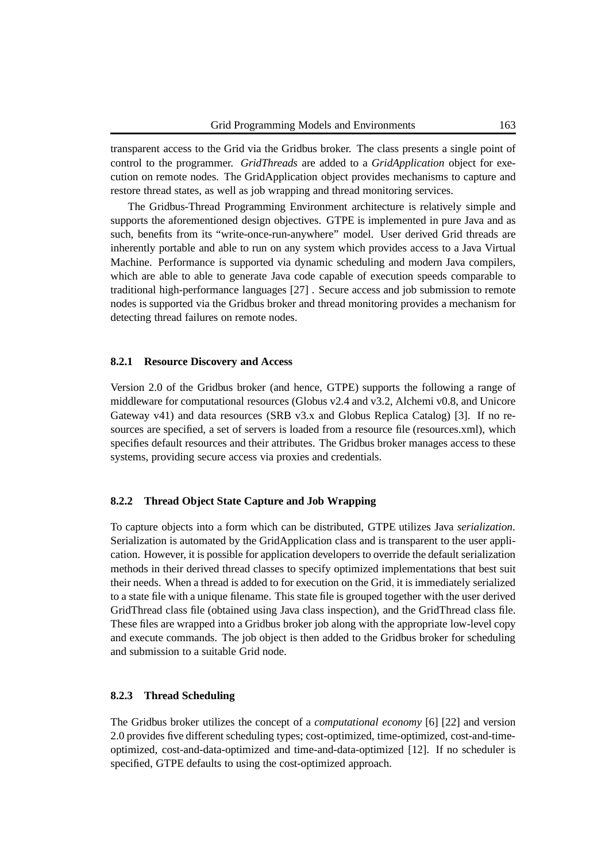transparent access to the Grid via the Gridbus broker. The class presents a single point of control to the programmer. *GridThreads* are added to a *GridApplication* object for execution on remote nodes. The GridApplication object provides mechanisms to capture and restore thread states, as well as job wrapping and thread monitoring services.

The Gridbus-Thread Programming Environment architecture is relatively simple and supports the aforementioned design objectives. GTPE is implemented in pure Java and as such, benefits from its "write-once-run-anywhere" model. User derived Grid threads are inherently portable and able to run on any system which provides access to a Java Virtual Machine. Performance is supported via dynamic scheduling and modern Java compilers, which are able to able to generate Java code capable of execution speeds comparable to traditional high-performance languages [27] . Secure access and job submission to remote nodes is supported via the Gridbus broker and thread monitoring provides a mechanism for detecting thread failures on remote nodes.

#### **8.2.1 Resource Discovery and Access**

Version 2.0 of the Gridbus broker (and hence, GTPE) supports the following a range of middleware for computational resources (Globus v2.4 and v3.2, Alchemi v0.8, and Unicore Gateway v41) and data resources (SRB v3.x and Globus Replica Catalog) [3]. If no resources are specified, a set of servers is loaded from a resource file (resources.xml), which specifies default resources and their attributes. The Gridbus broker manages access to these systems, providing secure access via proxies and credentials.

### **8.2.2 Thread Object State Capture and Job Wrapping**

To capture objects into a form which can be distributed, GTPE utilizes Java *serialization*. Serialization is automated by the GridApplication class and is transparent to the user application. However, it is possible for application developers to override the default serialization methods in their derived thread classes to specify optimized implementations that best suit their needs. When a thread is added to for execution on the Grid, it is immediately serialized to a state file with a unique filename. This state file is grouped together with the user derived GridThread class file (obtained using Java class inspection), and the GridThread class file. These files are wrapped into a Gridbus broker job along with the appropriate low-level copy and execute commands. The job object is then added to the Gridbus broker for scheduling and submission to a suitable Grid node.

#### **8.2.3 Thread Scheduling**

The Gridbus broker utilizes the concept of a *computational economy* [6] [22] and version 2.0 provides five different scheduling types; cost-optimized, time-optimized, cost-and-timeoptimized, cost-and-data-optimized and time-and-data-optimized [12]. If no scheduler is specified, GTPE defaults to using the cost-optimized approach.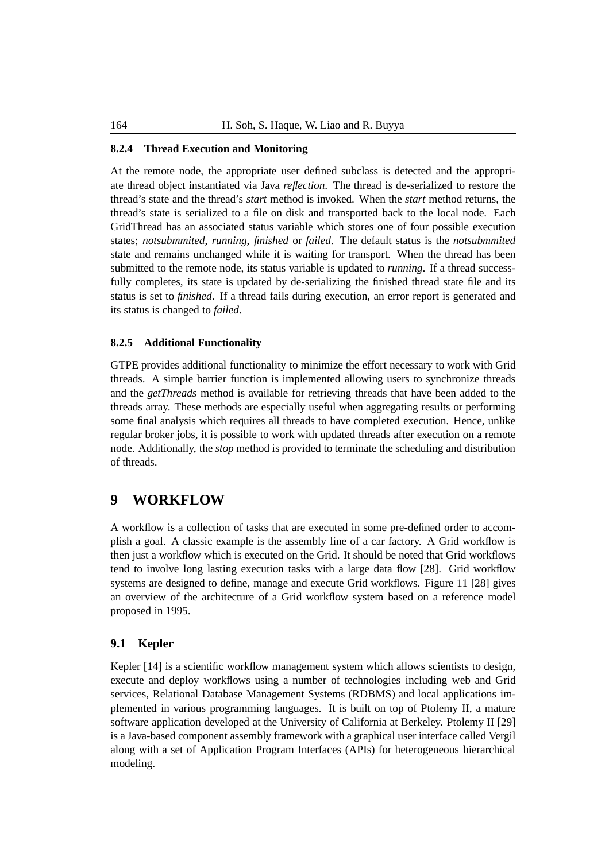#### **8.2.4 Thread Execution and Monitoring**

At the remote node, the appropriate user defined subclass is detected and the appropriate thread object instantiated via Java *reflection*. The thread is de-serialized to restore the thread's state and the thread's *start* method is invoked. When the *start* method returns, the thread's state is serialized to a file on disk and transported back to the local node. Each GridThread has an associated status variable which stores one of four possible execution states; *notsubmmited*, *running*, *finished* or *failed*. The default status is the *notsubmmited* state and remains unchanged while it is waiting for transport. When the thread has been submitted to the remote node, its status variable is updated to *running*. If a thread successfully completes, its state is updated by de-serializing the finished thread state file and its status is set to *finished*. If a thread fails during execution, an error report is generated and its status is changed to *failed*.

#### **8.2.5 Additional Functionality**

GTPE provides additional functionality to minimize the effort necessary to work with Grid threads. A simple barrier function is implemented allowing users to synchronize threads and the *getThreads* method is available for retrieving threads that have been added to the threads array. These methods are especially useful when aggregating results or performing some final analysis which requires all threads to have completed execution. Hence, unlike regular broker jobs, it is possible to work with updated threads after execution on a remote node. Additionally, the *stop* method is provided to terminate the scheduling and distribution of threads.

# **9 WORKFLOW**

A workflow is a collection of tasks that are executed in some pre-defined order to accomplish a goal. A classic example is the assembly line of a car factory. A Grid workflow is then just a workflow which is executed on the Grid. It should be noted that Grid workflows tend to involve long lasting execution tasks with a large data flow [28]. Grid workflow systems are designed to define, manage and execute Grid workflows. Figure 11 [28] gives an overview of the architecture of a Grid workflow system based on a reference model proposed in 1995.

# **9.1 Kepler**

Kepler [14] is a scientific workflow management system which allows scientists to design, execute and deploy workflows using a number of technologies including web and Grid services, Relational Database Management Systems (RDBMS) and local applications implemented in various programming languages. It is built on top of Ptolemy II, a mature software application developed at the University of California at Berkeley. Ptolemy II [29] is a Java-based component assembly framework with a graphical user interface called Vergil along with a set of Application Program Interfaces (APIs) for heterogeneous hierarchical modeling.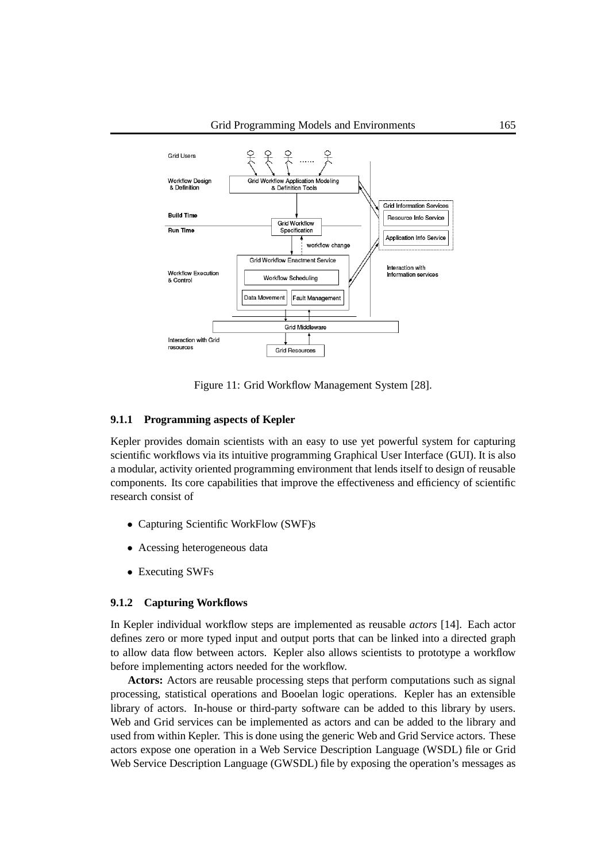

Figure 11: Grid Workflow Management System [28].

### **9.1.1 Programming aspects of Kepler**

Kepler provides domain scientists with an easy to use yet powerful system for capturing scientific workflows via its intuitive programming Graphical User Interface (GUI). It is also a modular, activity oriented programming environment that lends itself to design of reusable components. Its core capabilities that improve the effectiveness and efficiency of scientific research consist of

- Capturing Scientific WorkFlow (SWF)s
- Acessing heterogeneous data
- Executing SWFs

#### **9.1.2 Capturing Workflows**

In Kepler individual workflow steps are implemented as reusable *actors* [14]. Each actor defines zero or more typed input and output ports that can be linked into a directed graph to allow data flow between actors. Kepler also allows scientists to prototype a workflow before implementing actors needed for the workflow.

**Actors:** Actors are reusable processing steps that perform computations such as signal processing, statistical operations and Booelan logic operations. Kepler has an extensible library of actors. In-house or third-party software can be added to this library by users. Web and Grid services can be implemented as actors and can be added to the library and used from within Kepler. This is done using the generic Web and Grid Service actors. These actors expose one operation in a Web Service Description Language (WSDL) file or Grid Web Service Description Language (GWSDL) file by exposing the operation's messages as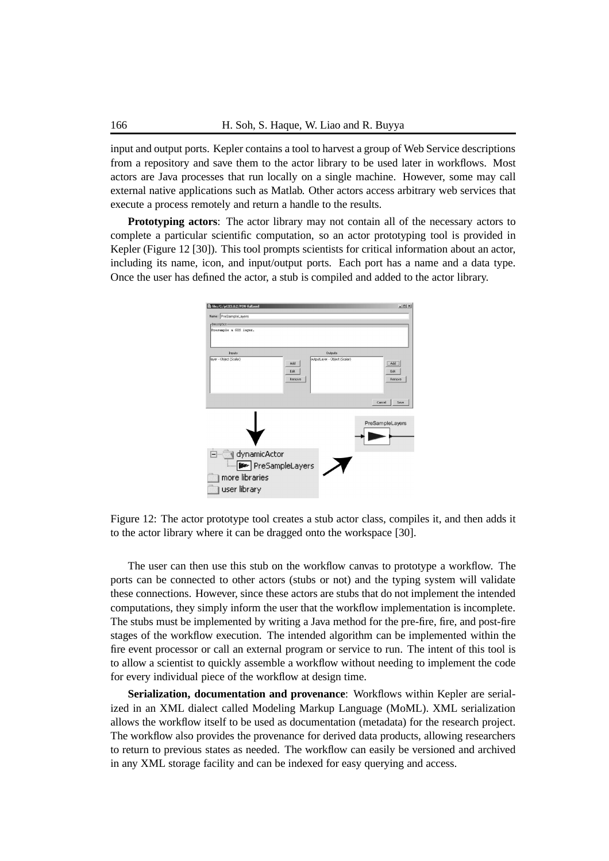input and output ports. Kepler contains a tool to harvest a group of Web Service descriptions from a repository and save them to the actor library to be used later in workflows. Most actors are Java processes that run locally on a single machine. However, some may call external native applications such as Matlab. Other actors access arbitrary web services that execute a process remotely and return a handle to the results.

**Prototyping actors**: The actor library may not contain all of the necessary actors to complete a particular scientific computation, so an actor prototyping tool is provided in Kepler (Figure 12 [30]). This tool prompts scientists for critical information about an actor, including its name, icon, and input/output ports. Each port has a name and a data type. Once the user has defined the actor, a stub is compiled and added to the actor library.





The user can then use this stub on the workflow canvas to prototype a workflow. The ports can be connected to other actors (stubs or not) and the typing system will validate these connections. However, since these actors are stubs that do not implement the intended computations, they simply inform the user that the workflow implementation is incomplete. The stubs must be implemented by writing a Java method for the pre-fire, fire, and post-fire stages of the workflow execution. The intended algorithm can be implemented within the fire event processor or call an external program or service to run. The intent of this tool is to allow a scientist to quickly assemble a workflow without needing to implement the code for every individual piece of the workflow at design time.

**Serialization, documentation and provenance**: Workflows within Kepler are serialized in an XML dialect called Modeling Markup Language (MoML). XML serialization allows the workflow itself to be used as documentation (metadata) for the research project. The workflow also provides the provenance for derived data products, allowing researchers to return to previous states as needed. The workflow can easily be versioned and archived in any XML storage facility and can be indexed for easy querying and access.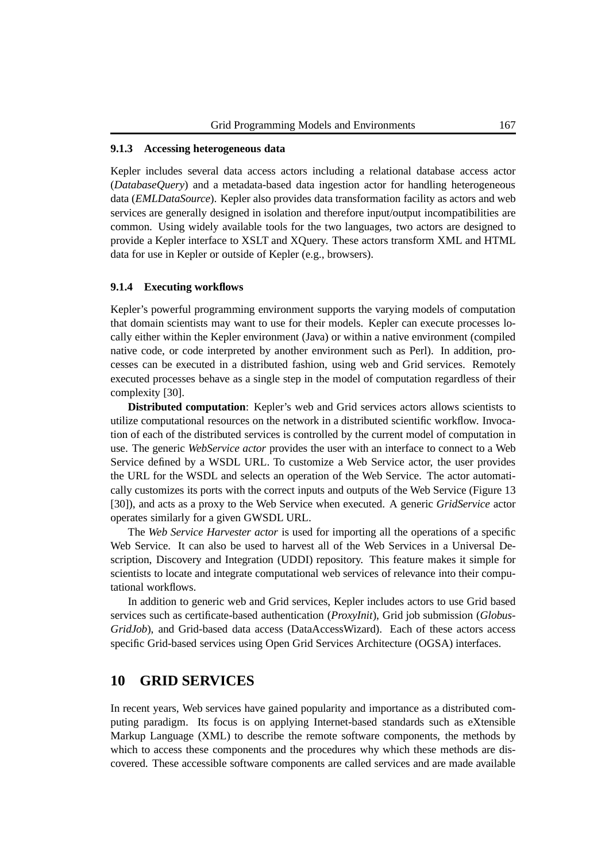#### **9.1.3 Accessing heterogeneous data**

Kepler includes several data access actors including a relational database access actor (*DatabaseQuery*) and a metadata-based data ingestion actor for handling heterogeneous data (*EMLDataSource*). Kepler also provides data transformation facility as actors and web services are generally designed in isolation and therefore input/output incompatibilities are common. Using widely available tools for the two languages, two actors are designed to provide a Kepler interface to XSLT and XQuery. These actors transform XML and HTML data for use in Kepler or outside of Kepler (e.g., browsers).

#### **9.1.4 Executing workflows**

Kepler's powerful programming environment supports the varying models of computation that domain scientists may want to use for their models. Kepler can execute processes locally either within the Kepler environment (Java) or within a native environment (compiled native code, or code interpreted by another environment such as Perl). In addition, processes can be executed in a distributed fashion, using web and Grid services. Remotely executed processes behave as a single step in the model of computation regardless of their complexity [30].

**Distributed computation**: Kepler's web and Grid services actors allows scientists to utilize computational resources on the network in a distributed scientific workflow. Invocation of each of the distributed services is controlled by the current model of computation in use. The generic *WebService actor* provides the user with an interface to connect to a Web Service defined by a WSDL URL. To customize a Web Service actor, the user provides the URL for the WSDL and selects an operation of the Web Service. The actor automatically customizes its ports with the correct inputs and outputs of the Web Service (Figure 13 [30]), and acts as a proxy to the Web Service when executed. A generic *GridService* actor operates similarly for a given GWSDL URL.

The *Web Service Harvester actor* is used for importing all the operations of a specific Web Service. It can also be used to harvest all of the Web Services in a Universal Description, Discovery and Integration (UDDI) repository. This feature makes it simple for scientists to locate and integrate computational web services of relevance into their computational workflows.

In addition to generic web and Grid services, Kepler includes actors to use Grid based services such as certificate-based authentication (*ProxyInit*), Grid job submission (*Globus-GridJob*), and Grid-based data access (DataAccessWizard). Each of these actors access specific Grid-based services using Open Grid Services Architecture (OGSA) interfaces.

# **10 GRID SERVICES**

In recent years, Web services have gained popularity and importance as a distributed computing paradigm. Its focus is on applying Internet-based standards such as eXtensible Markup Language (XML) to describe the remote software components, the methods by which to access these components and the procedures why which these methods are discovered. These accessible software components are called services and are made available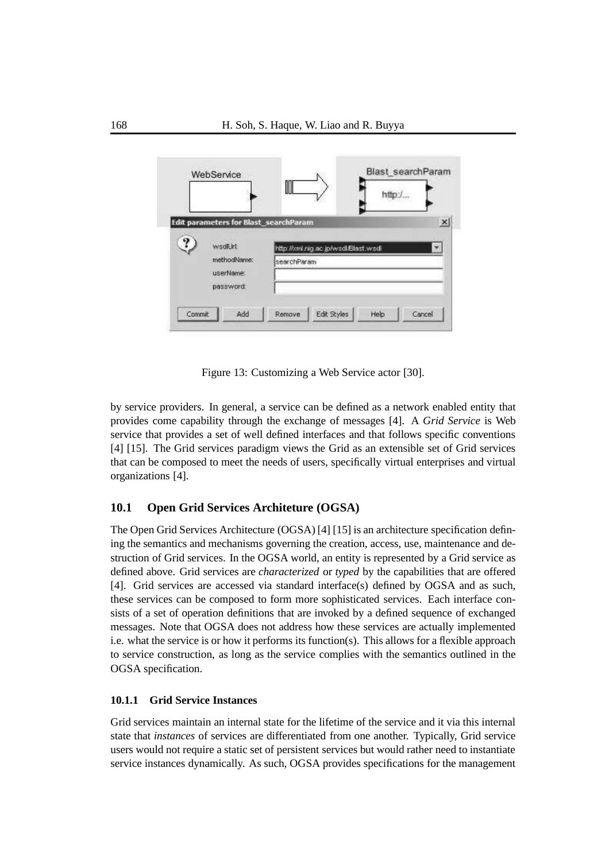| WebService                                                                  |                                                     | <b>Blast searchParam</b><br>http:/ |
|-----------------------------------------------------------------------------|-----------------------------------------------------|------------------------------------|
| Edit parameters for Blast_searchParam<br>wsdlut<br>methodName:<br>userName: | http://xml.niq.ac.jp/wsdl/Blast.wsdl<br>searchParam |                                    |
| password.<br>Add<br>Commit                                                  | Edit Styles<br>Remove                               | Help<br>Cancel                     |

Figure 13: Customizing a Web Service actor [30].

by service providers. In general, a service can be defined as a network enabled entity that provides come capability through the exchange of messages [4]. A *Grid Service* is Web service that provides a set of well defined interfaces and that follows specific conventions [4] [15]. The Grid services paradigm views the Grid as an extensible set of Grid services that can be composed to meet the needs of users, specifically virtual enterprises and virtual organizations [4].

# **10.1 Open Grid Services Architeture (OGSA)**

The Open Grid Services Architecture (OGSA) [4] [15] is an architecture specification defining the semantics and mechanisms governing the creation, access, use, maintenance and destruction of Grid services. In the OGSA world, an entity is represented by a Grid service as defined above. Grid services are *characterized* or *typed* by the capabilities that are offered [4]. Grid services are accessed via standard interface(s) defined by OGSA and as such, these services can be composed to form more sophisticated services. Each interface consists of a set of operation definitions that are invoked by a defined sequence of exchanged messages. Note that OGSA does not address how these services are actually implemented i.e. what the service is or how it performs its function(s). This allows for a flexible approach to service construction, as long as the service complies with the semantics outlined in the OGSA specification.

#### **10.1.1 Grid Service Instances**

Grid services maintain an internal state for the lifetime of the service and it via this internal state that *instances* of services are differentiated from one another. Typically, Grid service users would not require a static set of persistent services but would rather need to instantiate service instances dynamically. As such, OGSA provides specifications for the management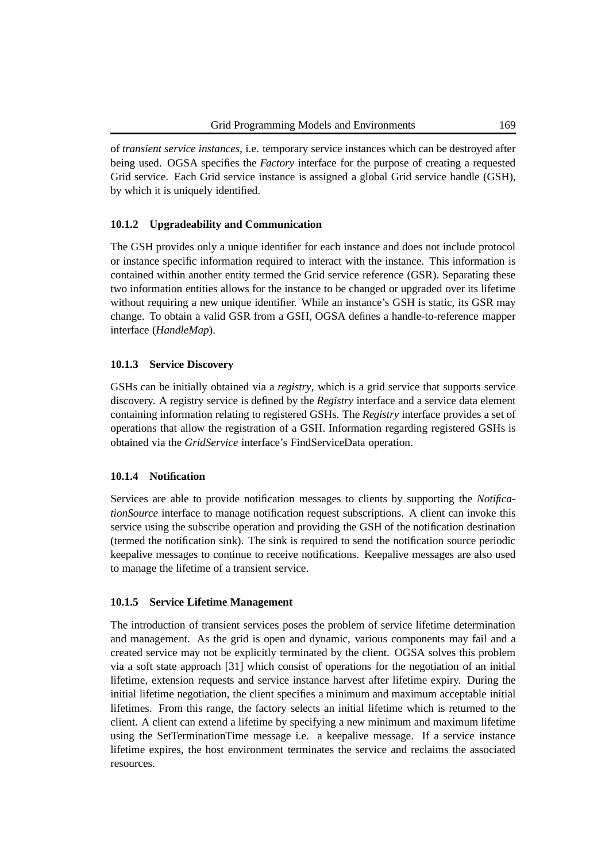of *transient service instances*, i.e. temporary service instances which can be destroyed after being used. OGSA specifies the *Factory* interface for the purpose of creating a requested Grid service. Each Grid service instance is assigned a global Grid service handle (GSH), by which it is uniquely identified.

#### **10.1.2 Upgradeability and Communication**

The GSH provides only a unique identifier for each instance and does not include protocol or instance specific information required to interact with the instance. This information is contained within another entity termed the Grid service reference (GSR). Separating these two information entities allows for the instance to be changed or upgraded over its lifetime without requiring a new unique identifier. While an instance's GSH is static, its GSR may change. To obtain a valid GSR from a GSH, OGSA defines a handle-to-reference mapper interface (*HandleMap*).

#### **10.1.3 Service Discovery**

GSHs can be initially obtained via a *registry*, which is a grid service that supports service discovery. A registry service is defined by the *Registry* interface and a service data element containing information relating to registered GSHs. The *Registry* interface provides a set of operations that allow the registration of a GSH. Information regarding registered GSHs is obtained via the *GridService* interface's FindServiceData operation.

### **10.1.4 Notification**

Services are able to provide notification messages to clients by supporting the *NotificationSource* interface to manage notification request subscriptions. A client can invoke this service using the subscribe operation and providing the GSH of the notification destination (termed the notification sink). The sink is required to send the notification source periodic keepalive messages to continue to receive notifications. Keepalive messages are also used to manage the lifetime of a transient service.

#### **10.1.5 Service Lifetime Management**

The introduction of transient services poses the problem of service lifetime determination and management. As the grid is open and dynamic, various components may fail and a created service may not be explicitly terminated by the client. OGSA solves this problem via a soft state approach [31] which consist of operations for the negotiation of an initial lifetime, extension requests and service instance harvest after lifetime expiry. During the initial lifetime negotiation, the client specifies a minimum and maximum acceptable initial lifetimes. From this range, the factory selects an initial lifetime which is returned to the client. A client can extend a lifetime by specifying a new minimum and maximum lifetime using the SetTerminationTime message i.e. a keepalive message. If a service instance lifetime expires, the host environment terminates the service and reclaims the associated resources.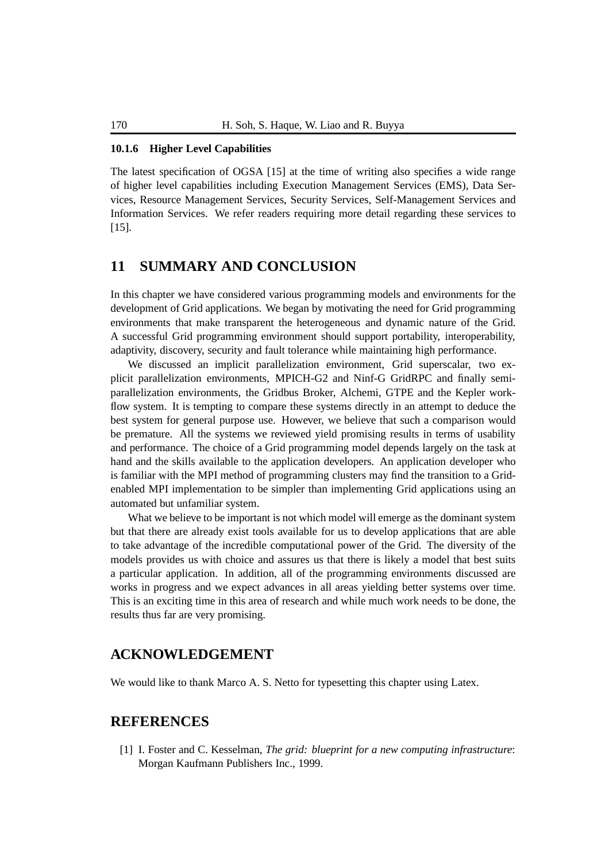#### **10.1.6 Higher Level Capabilities**

The latest specification of OGSA [15] at the time of writing also specifies a wide range of higher level capabilities including Execution Management Services (EMS), Data Services, Resource Management Services, Security Services, Self-Management Services and Information Services. We refer readers requiring more detail regarding these services to [15].

# **11 SUMMARY AND CONCLUSION**

In this chapter we have considered various programming models and environments for the development of Grid applications. We began by motivating the need for Grid programming environments that make transparent the heterogeneous and dynamic nature of the Grid. A successful Grid programming environment should support portability, interoperability, adaptivity, discovery, security and fault tolerance while maintaining high performance.

We discussed an implicit parallelization environment, Grid superscalar, two explicit parallelization environments, MPICH-G2 and Ninf-G GridRPC and finally semiparallelization environments, the Gridbus Broker, Alchemi, GTPE and the Kepler workflow system. It is tempting to compare these systems directly in an attempt to deduce the best system for general purpose use. However, we believe that such a comparison would be premature. All the systems we reviewed yield promising results in terms of usability and performance. The choice of a Grid programming model depends largely on the task at hand and the skills available to the application developers. An application developer who is familiar with the MPI method of programming clusters may find the transition to a Gridenabled MPI implementation to be simpler than implementing Grid applications using an automated but unfamiliar system.

What we believe to be important is not which model will emerge as the dominant system but that there are already exist tools available for us to develop applications that are able to take advantage of the incredible computational power of the Grid. The diversity of the models provides us with choice and assures us that there is likely a model that best suits a particular application. In addition, all of the programming environments discussed are works in progress and we expect advances in all areas yielding better systems over time. This is an exciting time in this area of research and while much work needs to be done, the results thus far are very promising.

# **ACKNOWLEDGEMENT**

We would like to thank Marco A. S. Netto for typesetting this chapter using Latex.

# **REFERENCES**

[1] I. Foster and C. Kesselman, *The grid: blueprint for a new computing infrastructure*: Morgan Kaufmann Publishers Inc., 1999.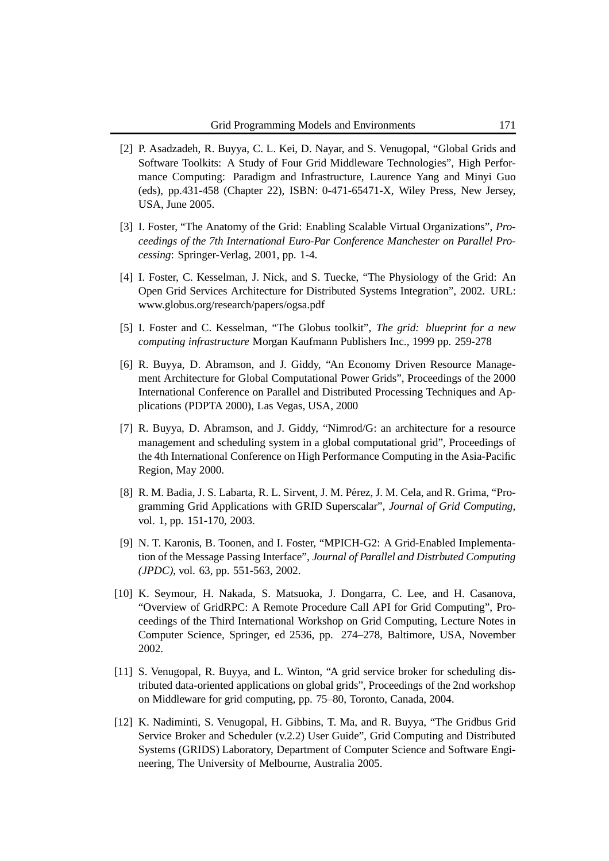- [2] P. Asadzadeh, R. Buyya, C. L. Kei, D. Nayar, and S. Venugopal, "Global Grids and Software Toolkits: A Study of Four Grid Middleware Technologies", High Performance Computing: Paradigm and Infrastructure, Laurence Yang and Minyi Guo (eds), pp.431-458 (Chapter 22), ISBN: 0-471-65471-X, Wiley Press, New Jersey, USA, June 2005.
- [3] I. Foster, "The Anatomy of the Grid: Enabling Scalable Virtual Organizations", *Proceedings of the 7th International Euro-Par Conference Manchester on Parallel Processing*: Springer-Verlag, 2001, pp. 1-4.
- [4] I. Foster, C. Kesselman, J. Nick, and S. Tuecke, "The Physiology of the Grid: An Open Grid Services Architecture for Distributed Systems Integration", 2002. URL: www.globus.org/research/papers/ogsa.pdf
- [5] I. Foster and C. Kesselman, "The Globus toolkit", *The grid: blueprint for a new computing infrastructure* Morgan Kaufmann Publishers Inc., 1999 pp. 259-278
- [6] R. Buyya, D. Abramson, and J. Giddy, "An Economy Driven Resource Management Architecture for Global Computational Power Grids", Proceedings of the 2000 International Conference on Parallel and Distributed Processing Techniques and Applications (PDPTA 2000), Las Vegas, USA, 2000
- [7] R. Buyya, D. Abramson, and J. Giddy, "Nimrod/G: an architecture for a resource management and scheduling system in a global computational grid", Proceedings of the 4th International Conference on High Performance Computing in the Asia-Pacific Region, May 2000.
- [8] R. M. Badia, J. S. Labarta, R. L. Sirvent, J. M. Pérez, J. M. Cela, and R. Grima, "Programming Grid Applications with GRID Superscalar", *Journal of Grid Computing*, vol. 1, pp. 151-170, 2003.
- [9] N. T. Karonis, B. Toonen, and I. Foster, "MPICH-G2: A Grid-Enabled Implementation of the Message Passing Interface", *Journal of Parallel and Distrbuted Computing (JPDC)*, vol. 63, pp. 551-563, 2002.
- [10] K. Seymour, H. Nakada, S. Matsuoka, J. Dongarra, C. Lee, and H. Casanova, "Overview of GridRPC: A Remote Procedure Call API for Grid Computing", Proceedings of the Third International Workshop on Grid Computing, Lecture Notes in Computer Science, Springer, ed 2536, pp. 274–278, Baltimore, USA, November 2002.
- [11] S. Venugopal, R. Buyya, and L. Winton, "A grid service broker for scheduling distributed data-oriented applications on global grids", Proceedings of the 2nd workshop on Middleware for grid computing, pp. 75–80, Toronto, Canada, 2004.
- [12] K. Nadiminti, S. Venugopal, H. Gibbins, T. Ma, and R. Buyya, "The Gridbus Grid Service Broker and Scheduler (v.2.2) User Guide", Grid Computing and Distributed Systems (GRIDS) Laboratory, Department of Computer Science and Software Engineering, The University of Melbourne, Australia 2005.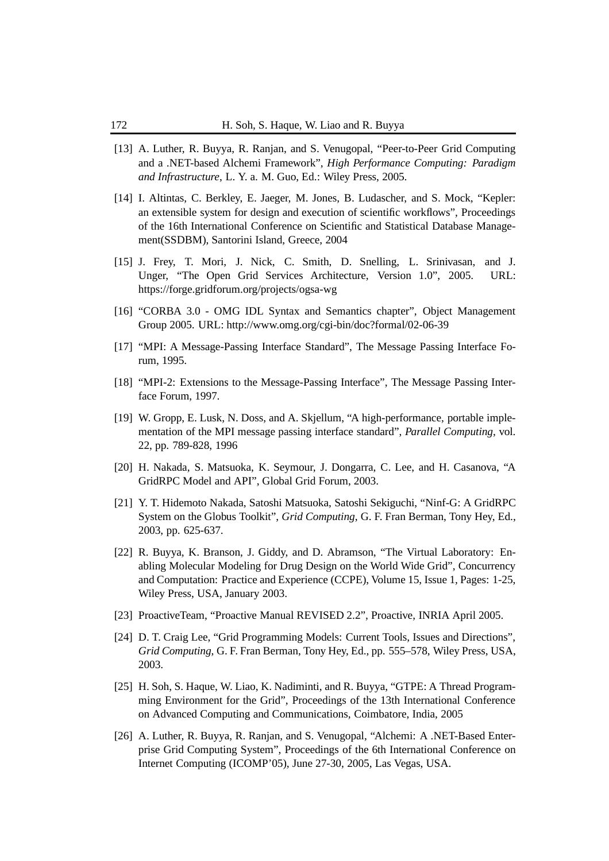- [13] A. Luther, R. Buyya, R. Ranjan, and S. Venugopal, "Peer-to-Peer Grid Computing and a .NET-based Alchemi Framework", *High Performance Computing: Paradigm and Infrastructure*, L. Y. a. M. Guo, Ed.: Wiley Press, 2005.
- [14] I. Altintas, C. Berkley, E. Jaeger, M. Jones, B. Ludascher, and S. Mock, "Kepler: an extensible system for design and execution of scientific workflows", Proceedings of the 16th International Conference on Scientific and Statistical Database Management(SSDBM), Santorini Island, Greece, 2004
- [15] J. Frey, T. Mori, J. Nick, C. Smith, D. Snelling, L. Srinivasan, and J. Unger, "The Open Grid Services Architecture, Version 1.0", 2005. URL: https://forge.gridforum.org/projects/ogsa-wg
- [16] "CORBA 3.0 OMG IDL Syntax and Semantics chapter", Object Management Group 2005. URL: http://www.omg.org/cgi-bin/doc?formal/02-06-39
- [17] "MPI: A Message-Passing Interface Standard", The Message Passing Interface Forum, 1995.
- [18] "MPI-2: Extensions to the Message-Passing Interface", The Message Passing Interface Forum, 1997.
- [19] W. Gropp, E. Lusk, N. Doss, and A. Skjellum, "A high-performance, portable implementation of the MPI message passing interface standard", *Parallel Computing*, vol. 22, pp. 789-828, 1996
- [20] H. Nakada, S. Matsuoka, K. Seymour, J. Dongarra, C. Lee, and H. Casanova, "A GridRPC Model and API", Global Grid Forum, 2003.
- [21] Y. T. Hidemoto Nakada, Satoshi Matsuoka, Satoshi Sekiguchi, "Ninf-G: A GridRPC System on the Globus Toolkit", *Grid Computing*, G. F. Fran Berman, Tony Hey, Ed., 2003, pp. 625-637.
- [22] R. Buyya, K. Branson, J. Giddy, and D. Abramson, "The Virtual Laboratory: Enabling Molecular Modeling for Drug Design on the World Wide Grid", Concurrency and Computation: Practice and Experience (CCPE), Volume 15, Issue 1, Pages: 1-25, Wiley Press, USA, January 2003.
- [23] ProactiveTeam, "Proactive Manual REVISED 2.2", Proactive, INRIA April 2005.
- [24] D. T. Craig Lee, "Grid Programming Models: Current Tools, Issues and Directions", *Grid Computing*, G. F. Fran Berman, Tony Hey, Ed., pp. 555–578, Wiley Press, USA, 2003.
- [25] H. Soh, S. Haque, W. Liao, K. Nadiminti, and R. Buyya, "GTPE: A Thread Programming Environment for the Grid", Proceedings of the 13th International Conference on Advanced Computing and Communications, Coimbatore, India, 2005
- [26] A. Luther, R. Buyya, R. Ranjan, and S. Venugopal, "Alchemi: A .NET-Based Enterprise Grid Computing System", Proceedings of the 6th International Conference on Internet Computing (ICOMP'05), June 27-30, 2005, Las Vegas, USA.